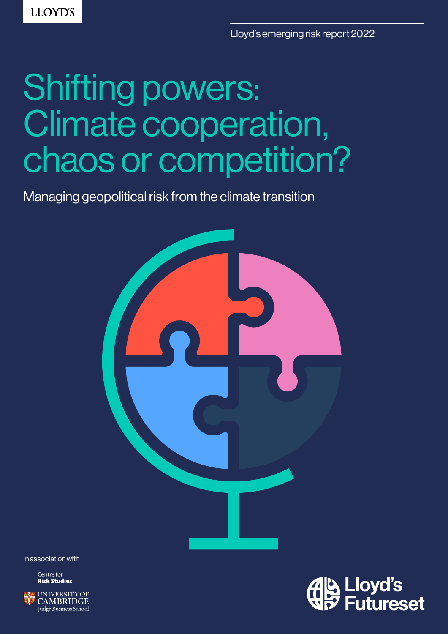**LLOYD'S** 

Lloyd's emerging risk report 2022

# Shifting powers: Climate cooperation, chaos or competition?

Managing geopolitical risk from the climate transition



In association with

Centre for **Risk Studies** 



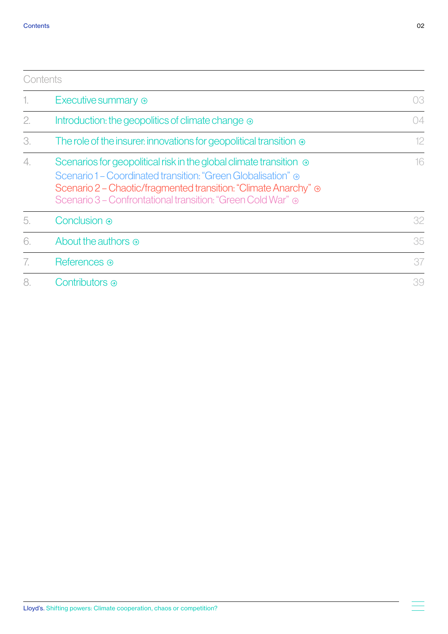<span id="page-1-0"></span>

|    | Contents                                                                                                                                                                                                                                                                         |    |
|----|----------------------------------------------------------------------------------------------------------------------------------------------------------------------------------------------------------------------------------------------------------------------------------|----|
| 1. | Executive summary $\odot$                                                                                                                                                                                                                                                        | 03 |
| 2. | Introduction: the geopolitics of climate change $\odot$                                                                                                                                                                                                                          | 04 |
| 3. | The role of the insurer: innovations for geopolitical transition $\odot$                                                                                                                                                                                                         | 12 |
| 4. | Scenarios for geopolitical risk in the global climate transition $\odot$<br>Scenario 1 – Coordinated transition: "Green Globalisation" $\odot$<br>Scenario 2 – Chaotic/fragmented transition: "Climate Anarchy" ⊕<br>Scenario 3 – Confrontational transition: "Green Cold War" ⊕ | 16 |
| 5. | Conclusion $\odot$                                                                                                                                                                                                                                                               | 32 |
| 6. | About the authors $\odot$                                                                                                                                                                                                                                                        | 35 |
| 7. | References $\odot$                                                                                                                                                                                                                                                               | 37 |
| 8. | Contributors $\odot$                                                                                                                                                                                                                                                             | 39 |

 $\equiv$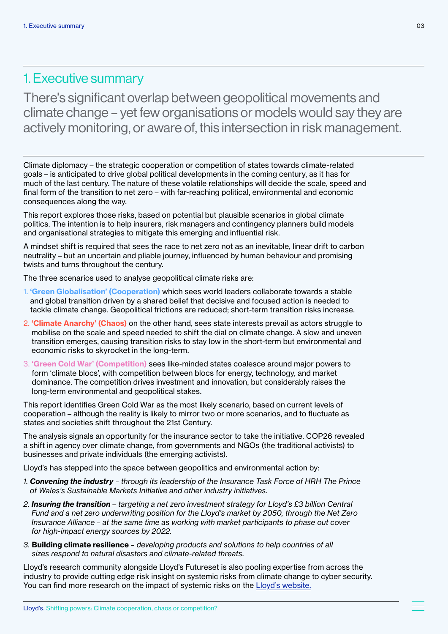### <span id="page-2-0"></span>1. Executive summary

There's significant overlap between geopolitical movements and climate change – yet few organisations or models would say they are actively monitoring, or aware of, this intersection in risk management.

Climate diplomacy – the strategic cooperation or competition of states towards climate-related goals – is anticipated to drive global political developments in the coming century, as it has for much of the last century. The nature of these volatile relationships will decide the scale, speed and final form of the transition to net zero – with far-reaching political, environmental and economic consequences along the way.

This report explores those risks, based on potential but plausible scenarios in global climate politics. The intention is to help insurers, risk managers and contingency planners build models and organisational strategies to mitigate this emerging and influential risk.

A mindset shift is required that sees the race to net zero not as an inevitable, linear drift to carbon neutrality – but an uncertain and pliable journey, influenced by human behaviour and promising twists and turns throughout the century.

The three scenarios used to analyse geopolitical climate risks are:

- 1. 'Green Globalisation' (Cooperation) which sees world leaders collaborate towards a stable and global transition driven by a shared belief that decisive and focused action is needed to tackle climate change. Geopolitical frictions are reduced; short-term transition risks increase.
- 2. 'Climate Anarchy' (Chaos) on the other hand, sees state interests prevail as actors struggle to mobilise on the scale and speed needed to shift the dial on climate change. A slow and uneven transition emerges, causing transition risks to stay low in the short-term but environmental and economic risks to skyrocket in the long-term.
- 3. 'Green Cold War' (Competition) sees like-minded states coalesce around major powers to form 'climate blocs', with competition between blocs for energy, technology, and market dominance. The competition drives investment and innovation, but considerably raises the long-term environmental and geopolitical stakes.

This report identifies Green Cold War as the most likely scenario, based on current levels of cooperation – although the reality is likely to mirror two or more scenarios, and to fluctuate as states and societies shift throughout the 21st Century.

The analysis signals an opportunity for the insurance sector to take the initiative. COP26 revealed a shift in agency over climate change, from governments and NGOs (the traditional activists) to businesses and private individuals (the emerging activists).

Lloyd's has stepped into the space between geopolitics and environmental action by:

- *1. Convening the industry through its leadership of the Insurance Task Force of HRH The Prince of Wales's Sustainable Markets Initiative and other industry initiatives.*
- *2. Insuring the transition targeting a net zero investment strategy for Lloyd's £3 billion Central Fund and a net zero underwriting position for the Lloyd's market by 2050, through the Net Zero Insurance Alliance – at the same time as working with market participants to phase out cover for high-impact energy sources by 2022.*
- *3.* Building climate resilience  *developing products and solutions to help countries of all sizes respond to natural disasters and climate-related threats.*

Lloyd's research community alongside Lloyd's Futureset is also pooling expertise from across the industry to provide cutting edge risk insight on systemic risks from climate change to cyber security. [You can find more research on the impact of systemic risks on the Lloyd's website.](http://www.lloyds.com/futureset)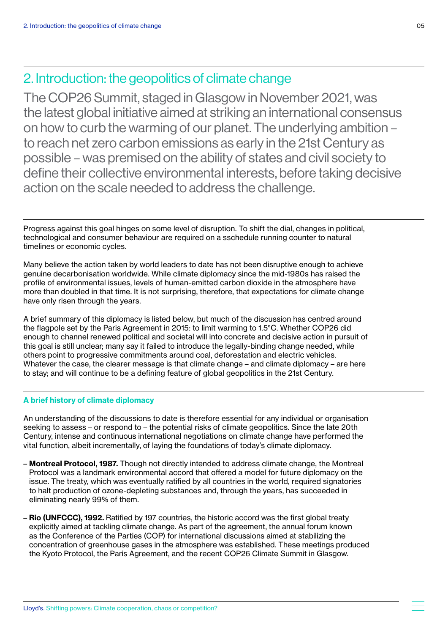The COP26 Summit, staged in Glasgow in November 2021, was the latest global initiative aimed at striking an international consensus on how to curb the warming of our planet. The underlying ambition – to reach net zero carbon emissions as early in the 21st Century as possible – was premised on the ability of states and civil society to define their collective environmental interests, before taking decisive action on the scale needed to address the challenge.

Progress against this goal hinges on some level of disruption. To shift the dial, changes in political, technological and consumer behaviour are required on a sschedule running counter to natural timelines or economic cycles.

Many believe the action taken by world leaders to date has not been disruptive enough to achieve genuine decarbonisation worldwide. While climate diplomacy since the mid-1980s has raised the profile of environmental issues, levels of human-emitted carbon dioxide in the atmosphere have more than doubled in that time. It is not surprising, therefore, that expectations for climate change have only risen through the years.

A brief summary of this diplomacy is listed below, but much of the discussion has centred around the flagpole set by the Paris Agreement in 2015: to limit warming to 1.5°C. Whether COP26 did enough to channel renewed political and societal will into concrete and decisive action in pursuit of this goal is still unclear; many say it failed to introduce the legally-binding change needed, while others point to progressive commitments around coal, deforestation and electric vehicles. Whatever the case, the clearer message is that climate change – and climate diplomacy – are here to stay; and will continue to be a defining feature of global geopolitics in the 21st Century.

### A brief history of climate diplomacy

An understanding of the discussions to date is therefore essential for any individual or organisation seeking to assess – or respond to – the potential risks of climate geopolitics. Since the late 20th Century, intense and continuous international negotiations on climate change have performed the vital function, albeit incrementally, of laying the foundations of today's climate diplomacy.

- Montreal Protocol, 1987. Though not directly intended to address climate change, the Montreal Protocol was a landmark environmental accord that offered a model for future diplomacy on the issue. The treaty, which was eventually ratified by all countries in the world, required signatories to halt production of ozone-depleting substances and, through the years, has succeeded in eliminating nearly 99% of them.
- Rio (UNFCCC), 1992. Ratified by 197 countries, the historic accord was the first global treaty explicitly aimed at tackling climate change. As part of the agreement, the annual forum known as the Conference of the Parties (COP) for international discussions aimed at stabilizing the concentration of greenhouse gases in the atmosphere was established. These meetings produced the Kyoto Protocol, the Paris Agreement, and the recent COP26 Climate Summit in Glasgow.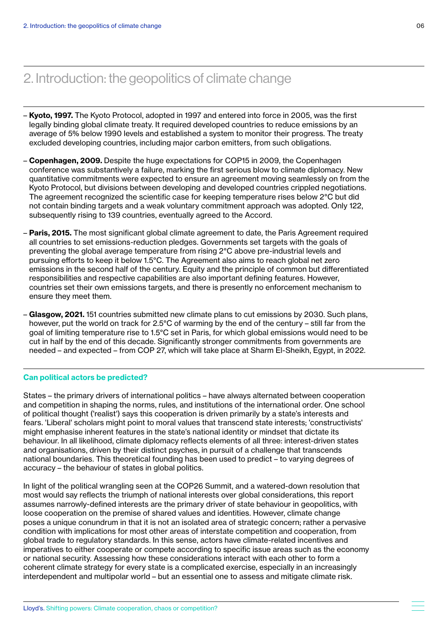- Kyoto, 1997. The Kyoto Protocol, adopted in 1997 and entered into force in 2005, was the first legally binding global climate treaty. It required developed countries to reduce emissions by an average of 5% below 1990 levels and established a system to monitor their progress. The treaty excluded developing countries, including major carbon emitters, from such obligations.
- Copenhagen, 2009. Despite the huge expectations for COP15 in 2009, the Copenhagen conference was substantively a failure, marking the first serious blow to climate diplomacy. New quantitative commitments were expected to ensure an agreement moving seamlessly on from the Kyoto Protocol, but divisions between developing and developed countries crippled negotiations. The agreement recognized the scientific case for keeping temperature rises below 2°C but did not contain binding targets and a weak voluntary commitment approach was adopted. Only 122, subsequently rising to 139 countries, eventually agreed to the Accord.
- Paris, 2015. The most significant global climate agreement to date, the Paris Agreement required all countries to set emissions-reduction pledges. Governments set targets with the goals of preventing the global average temperature from rising 2°C above pre-industrial levels and pursuing efforts to keep it below 1.5°C. The Agreement also aims to reach global net zero emissions in the second half of the century. Equity and the principle of common but differentiated responsibilities and respective capabilities are also important defining features. However, countries set their own emissions targets, and there is presently no enforcement mechanism to ensure they meet them.
- Glasgow, 2021. 151 countries submitted new climate plans to cut emissions by 2030. Such plans, however, put the world on track for 2.5°C of warming by the end of the century – still far from the goal of limiting temperature rise to 1.5°C set in Paris, for which global emissions would need to be cut in half by the end of this decade. Significantly stronger commitments from governments are needed – and expected – from COP 27, which will take place at Sharm El-Sheikh, Egypt, in 2022.

### Can political actors be predicted?

States – the primary drivers of international politics – have always alternated between cooperation and competition in shaping the norms, rules, and institutions of the international order. One school of political thought ('realist') says this cooperation is driven primarily by a state's interests and fears. 'Liberal' scholars might point to moral values that transcend state interests; 'constructivists' might emphasise inherent features in the state's national identity or mindset that dictate its behaviour. In all likelihood, climate diplomacy reflects elements of all three: interest-driven states and organisations, driven by their distinct psyches, in pursuit of a challenge that transcends national boundaries. This theoretical founding has been used to predict – to varying degrees of accuracy – the behaviour of states in global politics.

In light of the political wrangling seen at the COP26 Summit, and a watered-down resolution that most would say reflects the triumph of national interests over global considerations, this report assumes narrowly-defined interests are the primary driver of state behaviour in geopolitics, with loose cooperation on the premise of shared values and identities. However, climate change poses a unique conundrum in that it is not an isolated area of strategic concern; rather a pervasive condition with implications for most other areas of interstate competition and cooperation, from global trade to regulatory standards. In this sense, actors have climate-related incentives and imperatives to either cooperate or compete according to specific issue areas such as the economy or national security. Assessing how these considerations interact with each other to form a coherent climate strategy for every state is a complicated exercise, especially in an increasingly interdependent and multipolar world – but an essential one to assess and mitigate climate risk.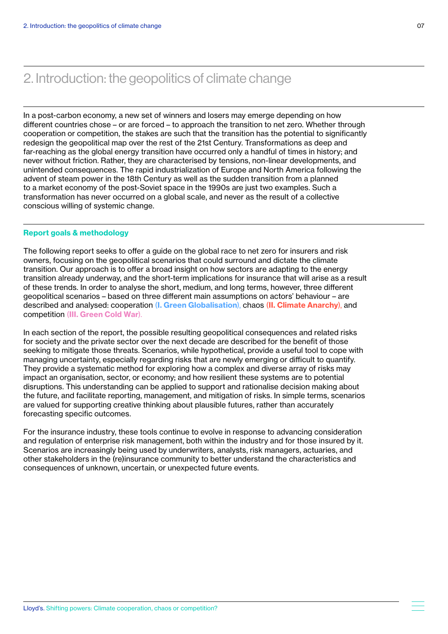In a post-carbon economy, a new set of winners and losers may emerge depending on how different countries chose – or are forced – to approach the transition to net zero. Whether through cooperation or competition, the stakes are such that the transition has the potential to significantly redesign the geopolitical map over the rest of the 21st Century. Transformations as deep and far-reaching as the global energy transition have occurred only a handful of times in history; and never without friction. Rather, they are characterised by tensions, non-linear developments, and unintended consequences. The rapid industrialization of Europe and North America following the advent of steam power in the 18th Century as well as the sudden transition from a planned to a market economy of the post-Soviet space in the 1990s are just two examples. Such a transformation has never occurred on a global scale, and never as the result of a collective conscious willing of systemic change.

### Report goals & methodology

The following report seeks to offer a guide on the global race to net zero for insurers and risk owners, focusing on the geopolitical scenarios that could surround and dictate the climate transition. Our approach is to offer a broad insight on how sectors are adapting to the energy transition already underway, and the short-term implications for insurance that will arise as a result of these trends. In order to analyse the short, medium, and long terms, however, three different geopolitical scenarios – based on three different main assumptions on actors' behaviour – are described and analysed: cooperation (I. Green Globalisation), chaos (II. Climate Anarchy), and competition (III. Green Cold War).

In each section of the report, the possible resulting geopolitical consequences and related risks for society and the private sector over the next decade are described for the benefit of those seeking to mitigate those threats. Scenarios, while hypothetical, provide a useful tool to cope with managing uncertainty, especially regarding risks that are newly emerging or difficult to quantify. They provide a systematic method for exploring how a complex and diverse array of risks may impact an organisation, sector, or economy; and how resilient these systems are to potential disruptions. This understanding can be applied to support and rationalise decision making about the future, and facilitate reporting, management, and mitigation of risks. In simple terms, scenarios are valued for supporting creative thinking about plausible futures, rather than accurately forecasting specific outcomes.

For the insurance industry, these tools continue to evolve in response to advancing consideration and regulation of enterprise risk management, both within the industry and for those insured by it. Scenarios are increasingly being used by underwriters, analysts, risk managers, actuaries, and other stakeholders in the (re)insurance community to better understand the characteristics and consequences of unknown, uncertain, or unexpected future events.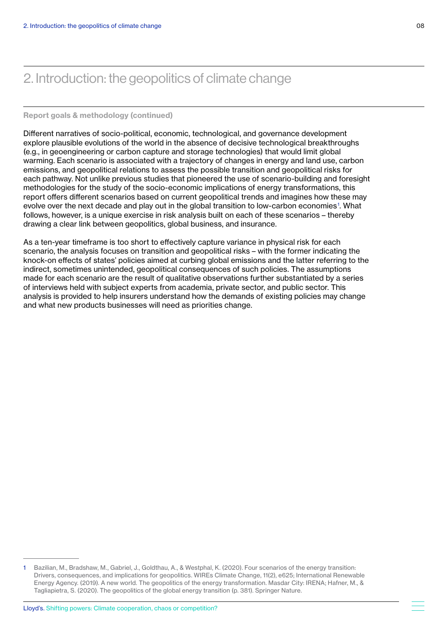### Report goals & methodology (continued)

Different narratives of socio-political, economic, technological, and governance development explore plausible evolutions of the world in the absence of decisive technological breakthroughs (e.g., in geoengineering or carbon capture and storage technologies) that would limit global warming. Each scenario is associated with a trajectory of changes in energy and land use, carbon emissions, and geopolitical relations to assess the possible transition and geopolitical risks for each pathway. Not unlike previous studies that pioneered the use of scenario-building and foresight methodologies for the study of the socio-economic implications of energy transformations, this report offers different scenarios based on current geopolitical trends and imagines how these may evolve over the next decade and play out in the global transition to low-carbon economies<sup>1</sup>. What follows, however, is a unique exercise in risk analysis built on each of these scenarios – thereby drawing a clear link between geopolitics, global business, and insurance.

As a ten-year timeframe is too short to effectively capture variance in physical risk for each scenario, the analysis focuses on transition and geopolitical risks – with the former indicating the knock-on effects of states' policies aimed at curbing global emissions and the latter referring to the indirect, sometimes unintended, geopolitical consequences of such policies. The assumptions made for each scenario are the result of qualitative observations further substantiated by a series of interviews held with subject experts from academia, private sector, and public sector. This analysis is provided to help insurers understand how the demands of existing policies may change and what new products businesses will need as priorities change.

<sup>1</sup> Bazilian, M., Bradshaw, M., Gabriel, J., Goldthau, A., & Westphal, K. (2020). Four scenarios of the energy transition: Drivers, consequences, and implications for geopolitics. WIREs Climate Change, 11(2), e625; International Renewable Energy Agency. (2019). A new world. The geopolitics of the energy transformation. Masdar City: IRENA; Hafner, M., & Tagliapietra, S. (2020). The geopolitics of the global energy transition (p. 381). Springer Nature.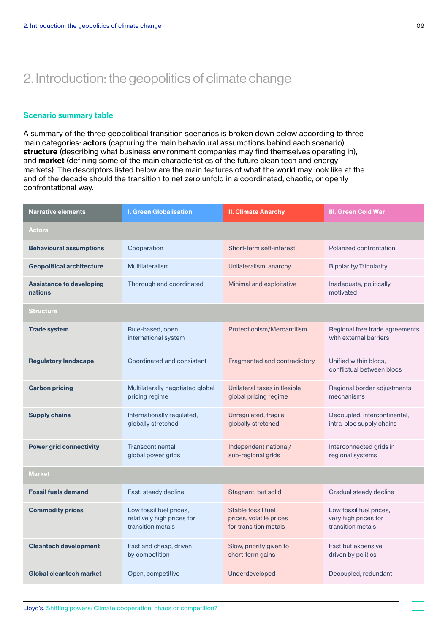### Scenario summary table

A summary of the three geopolitical transition scenarios is broken down below according to three main categories: actors (capturing the main behavioural assumptions behind each scenario), structure (describing what business environment companies may find themselves operating in), and market (defining some of the main characteristics of the future clean tech and energy markets). The descriptors listed below are the main features of what the world may look like at the end of the decade should the transition to net zero unfold in a coordinated, chaotic, or openly confrontational way.

| <b>I. Green Globalisation</b><br><b>Narrative elements</b> |                                                                            | <b>II. Climate Anarchy</b>                                             | <b>III. Green Cold War</b>                                           |  |  |  |
|------------------------------------------------------------|----------------------------------------------------------------------------|------------------------------------------------------------------------|----------------------------------------------------------------------|--|--|--|
| <b>Actors</b>                                              |                                                                            |                                                                        |                                                                      |  |  |  |
| <b>Behavioural assumptions</b>                             | Cooperation                                                                | Short-term self-interest                                               | Polarized confrontation                                              |  |  |  |
| <b>Geopolitical architecture</b>                           | <b>Multilateralism</b>                                                     | Unilateralism, anarchy                                                 | <b>Bipolarity/Tripolarity</b>                                        |  |  |  |
| <b>Assistance to developing</b><br>nations                 | Thorough and coordinated                                                   | Minimal and exploitative                                               | Inadequate, politically<br>motivated                                 |  |  |  |
| Structure                                                  |                                                                            |                                                                        |                                                                      |  |  |  |
| <b>Trade system</b>                                        | Rule-based, open<br>international system                                   | Protectionism/Mercantilism                                             | Regional free trade agreements<br>with external barriers             |  |  |  |
| <b>Regulatory landscape</b>                                | Coordinated and consistent                                                 | Fragmented and contradictory                                           | Unified within blocs,<br>conflictual between blocs                   |  |  |  |
| <b>Carbon pricing</b>                                      | Multilaterally negotiated global<br>pricing regime                         | Unilateral taxes in flexible<br>global pricing regime                  | Regional border adjustments<br>mechanisms                            |  |  |  |
| <b>Supply chains</b>                                       | Internationally regulated,<br>globally stretched                           | Unregulated, fragile,<br>globally stretched                            | Decoupled, intercontinental,<br>intra-bloc supply chains             |  |  |  |
| <b>Power grid connectivity</b>                             | Transcontinental,<br>global power grids                                    | Independent national/<br>sub-regional grids                            | Interconnected grids in<br>regional systems                          |  |  |  |
| <b>Market</b>                                              |                                                                            |                                                                        |                                                                      |  |  |  |
| <b>Fossil fuels demand</b>                                 | Fast, steady decline                                                       | Stagnant, but solid                                                    | Gradual steady decline                                               |  |  |  |
| <b>Commodity prices</b>                                    | Low fossil fuel prices,<br>relatively high prices for<br>transition metals | Stable fossil fuel<br>prices, volatile prices<br>for transition metals | Low fossil fuel prices,<br>very high prices for<br>transition metals |  |  |  |
| <b>Cleantech development</b>                               | Fast and cheap, driven<br>by competition                                   | Slow, priority given to<br>short-term gains                            | Fast but expensive,<br>driven by politics                            |  |  |  |
| Global cleantech market                                    | Open, competitive                                                          | Underdeveloped                                                         | Decoupled, redundant                                                 |  |  |  |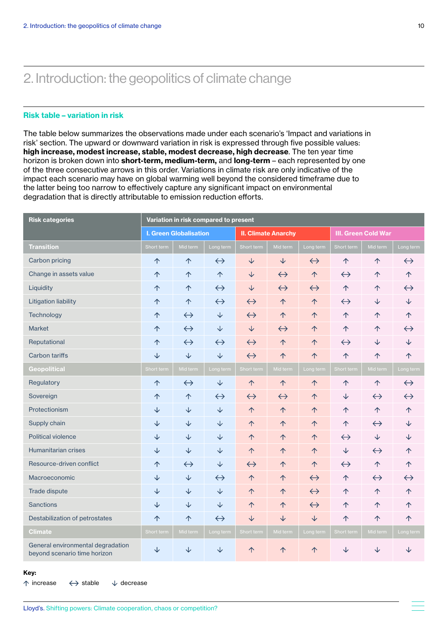### Risk table – variation in risk

The table below summarizes the observations made under each scenario's 'Impact and variations in risk' section. The upward or downward variation in risk is expressed through five possible values: high increase, modest increase, stable, modest decrease, high decrease. The ten year time horizon is broken down into short-term, medium-term, and long-term - each represented by one of the three consecutive arrows in this order. Variations in climate risk are only indicative of the impact each scenario may have on global warming well beyond the considered timeframe due to the latter being too narrow to effectively capture any significant impact on environmental degradation that is directly attributable to emission reduction efforts.

| <b>Risk categories</b>                                            | Variation in risk compared to present |                   |                            |                   |                   |                            |                   |                   |                   |
|-------------------------------------------------------------------|---------------------------------------|-------------------|----------------------------|-------------------|-------------------|----------------------------|-------------------|-------------------|-------------------|
|                                                                   | <b>I. Green Globalisation</b>         |                   | <b>II. Climate Anarchy</b> |                   |                   | <b>III. Green Cold War</b> |                   |                   |                   |
| <b>Transition</b>                                                 | Short term                            | Mid term          | Long term                  | Short term        | Mid term          | Long term                  | Short term        | Mid term          | Long term         |
| Carbon pricing                                                    | 个                                     | 个                 | $\leftrightarrow$          | $\downarrow$      | $\downarrow$      | $\leftrightarrow$          | 个                 | 个                 | $\leftrightarrow$ |
| Change in assets value                                            | 个                                     | 个                 | 个                          | $\downarrow$      | $\leftrightarrow$ | 个                          | $\leftrightarrow$ | 个                 | 个                 |
| Liquidity                                                         | 个                                     | 个                 | $\leftrightarrow$          | $\downarrow$      | $\leftrightarrow$ | $\leftrightarrow$          | $\uparrow$        | 个                 | $\leftrightarrow$ |
| <b>Litigation liability</b>                                       | 个                                     | 个                 | $\leftrightarrow$          | $\leftrightarrow$ | 个                 | 个                          | $\leftrightarrow$ | $\downarrow$      | ↓                 |
| Technology                                                        | 个                                     | $\leftrightarrow$ | $\downarrow$               | $\leftrightarrow$ | 个                 | 个                          | 个                 | 个                 | 个                 |
| <b>Market</b>                                                     | 个                                     | $\leftrightarrow$ | ↓                          | ↓                 | $\leftrightarrow$ | 个                          | 个                 | 个                 | $\leftrightarrow$ |
| Reputational                                                      | 个                                     | $\leftrightarrow$ | $\leftrightarrow$          | $\leftrightarrow$ | 个                 | 个                          | $\leftrightarrow$ | $\downarrow$      | ↓                 |
| <b>Carbon tariffs</b>                                             | ↓                                     | $\sqrt{}$         | $\downarrow$               | $\leftrightarrow$ | 个                 | 个                          | 个                 | 个                 | 个                 |
| <b>Geopolitical</b>                                               | Short term                            | Mid term          | Long term                  | Short term        | Mid term          | Long term                  | Short term        | Mid term          | Long term         |
| Regulatory                                                        | 个                                     | $\leftrightarrow$ | ↓                          | 个                 | $\uparrow$        | 个                          | 个                 | 个                 | $\leftrightarrow$ |
| Sovereign                                                         | 个                                     | 个                 | $\leftrightarrow$          | $\leftrightarrow$ | $\leftrightarrow$ | 个                          | $\downarrow$      | $\leftrightarrow$ | $\leftrightarrow$ |
| Protectionism                                                     | $\downarrow$                          | $\downarrow$      | $\downarrow$               | 个                 | 个                 | 个                          | 个                 | 个                 | $\uparrow$        |
| Supply chain                                                      | ↓                                     | $\downarrow$      | $\downarrow$               | 个                 | 个                 | 个                          | 个                 | $\leftrightarrow$ | ↓                 |
| Political violence                                                | ↓                                     | $\downarrow$      | ↓                          | 个                 | 个                 | 个                          | $\leftrightarrow$ | $\downarrow$      | ◡                 |
| Humanitarian crises                                               | $\downarrow$                          | $\downarrow$      | $\downarrow$               | 个                 | 个                 | 个                          | $\downarrow$      | $\leftrightarrow$ | 个                 |
| Resource-driven conflict                                          | 个                                     | $\leftrightarrow$ | ↓                          | $\leftrightarrow$ | 个                 | 个                          | $\leftrightarrow$ | 个                 | 个                 |
| Macroeconomic                                                     | ↓                                     | $\downarrow$      | $\leftrightarrow$          | 个                 | 个                 | $\leftrightarrow$          | 个                 | $\leftrightarrow$ | $\leftrightarrow$ |
| Trade dispute                                                     | ↓                                     | $\downarrow$      | ↓                          | 个                 | 个                 | $\leftrightarrow$          | 个                 | 个                 | 个                 |
| Sanctions                                                         | ↓                                     | $\downarrow$      | ↓                          | 个                 | 个                 | $\leftrightarrow$          | 个                 | 个                 | 个                 |
| Destabilization of petrostates                                    | 个                                     | 个                 | $\leftrightarrow$          | $\downarrow$      | $\downarrow$      | $\downarrow$               | $\uparrow$        | 个                 | 个                 |
| <b>Climate</b>                                                    | Short term                            | Mid term          | Long term                  | Short term        | Mid term          | Long term                  | Short term        | Mid term          | Long term         |
| General environmental degradation<br>beyond scenario time horizon | ↓                                     | ↓                 | ↓                          | $\uparrow$        | 个                 | 个                          | ↓                 | ↓                 | ↓                 |

### Key:

 $\uparrow$  increase  $\leftrightarrow$  stable  $\downarrow$  decrease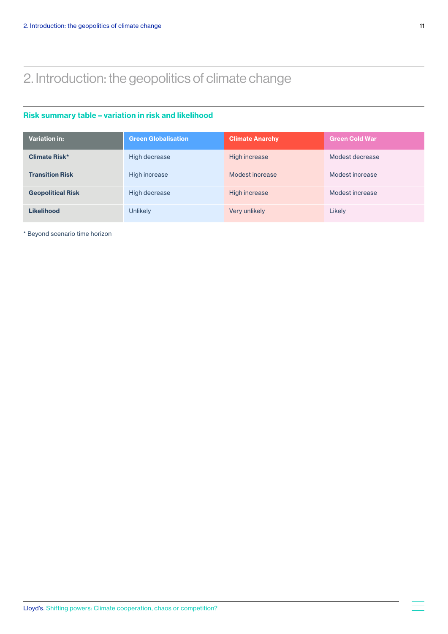### Risk summary table – variation in risk and likelihood

| <b>Variation in:</b>     | <b>Green Globalisation</b> | <b>Climate Anarchy</b> | <b>Green Cold War</b> |
|--------------------------|----------------------------|------------------------|-----------------------|
| <b>Climate Risk*</b>     | High decrease              | High increase          | Modest decrease       |
| <b>Transition Risk</b>   | High increase              | Modest increase        | Modest increase       |
| <b>Geopolitical Risk</b> | High decrease              | High increase          | Modest increase       |
| <b>Likelihood</b>        | Unlikely                   | Very unlikely          | Likely                |

\* Beyond scenario time horizon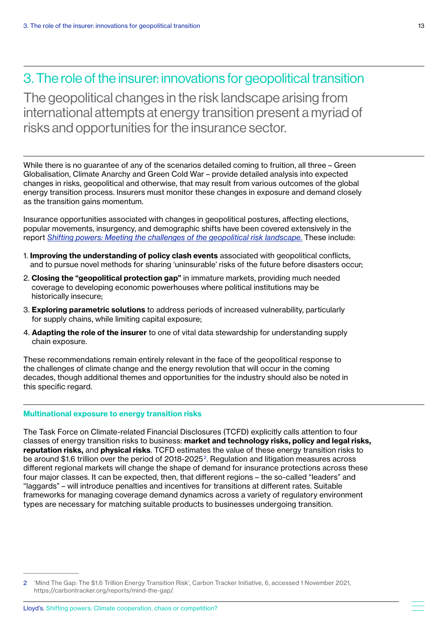The geopolitical changes in the risk landscape arising from international attempts at energy transition present a myriad of risks and opportunities for the insurance sector.

While there is no guarantee of any of the scenarios detailed coming to fruition, all three – Green Globalisation, Climate Anarchy and Green Cold War – provide detailed analysis into expected changes in risks, geopolitical and otherwise, that may result from various outcomes of the global energy transition process. Insurers must monitor these changes in exposure and demand closely as the transition gains momentum.

[Insurance opportunities associated with changes in geopolitical postures, affecting elections,](https://assets.lloyds.com/media/04644d31-d1aa-44e0-be0f-ec83c1bc23c9/Lloyds_shifting_powers_emerging_risk_report_Final.pdf)  [popular movements, insurgency, and demographic shifts have been covered extensively in the](https://assets.lloyds.com/media/04644d31-d1aa-44e0-be0f-ec83c1bc23c9/Lloyds_shifting_powers_emerging_risk_report_Final.pdf)  report *[Shifting powers: Meeting the challenges of the geopolitical risk landscape.](https://assets.lloyds.com/media/04644d31-d1aa-44e0-be0f-ec83c1bc23c9/Lloyds_shifting_powers_emerging_risk_report_Final.pdf)* These include:

- 1. Improving the understanding of policy clash events associated with geopolitical conflicts, and to pursue novel methods for sharing 'uninsurable' risks of the future before disasters occur;
- 2. Closing the "geopolitical protection gap" in immature markets, providing much needed coverage to developing economic powerhouses where political institutions may be historically insecure;
- 3. Exploring parametric solutions to address periods of increased vulnerability, particularly for supply chains, while limiting capital exposure;
- 4. Adapting the role of the insurer to one of vital data stewardship for understanding supply chain exposure.

These recommendations remain entirely relevant in the face of the geopolitical response to the challenges of climate change and the energy revolution that will occur in the coming decades, though additional themes and opportunities for the industry should also be noted in this specific regard.

### Multinational exposure to energy transition risks

The Task Force on Climate-related Financial Disclosures (TCFD) explicitly calls attention to four classes of energy transition risks to business: market and technology risks, policy and legal risks, reputation risks, and physical risks. TCFD estimates the value of these energy transition risks to be around \$1.6 trillion over the period of 2018-2025<sup>2</sup>. Regulation and litigation measures across different regional markets will change the shape of demand for insurance protections across these four major classes. It can be expected, then, that different regions – the so-called "leaders" and "laggards" – will introduce penalties and incentives for transitions at different rates. Suitable frameworks for managing coverage demand dynamics across a variety of regulatory environment types are necessary for matching suitable products to businesses undergoing transition.

<sup>2</sup> 'Mind The Gap: The \$1.6 Trillion Energy Transition Risk', Carbon Tracker Initiative, 6, accessed 1 November 2021, https://carbontracker.org/reports/mind-the-gap/.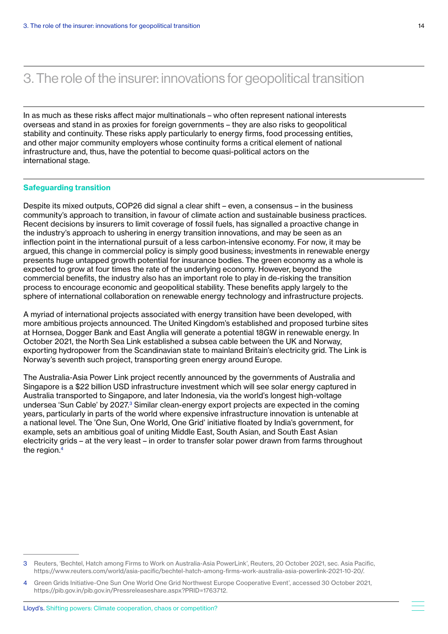In as much as these risks affect major multinationals – who often represent national interests overseas and stand in as proxies for foreign governments – they are also risks to geopolitical stability and continuity. These risks apply particularly to energy firms, food processing entities, and other major community employers whose continuity forms a critical element of national infrastructure and, thus, have the potential to become quasi-political actors on the international stage.

### Safeguarding transition

Despite its mixed outputs, COP26 did signal a clear shift – even, a consensus – in the business community's approach to transition, in favour of climate action and sustainable business practices. Recent decisions by insurers to limit coverage of fossil fuels, has signalled a proactive change in the industry's approach to ushering in energy transition innovations, and may be seen as an inflection point in the international pursuit of a less carbon-intensive economy. For now, it may be argued, this change in commercial policy is simply good business; investments in renewable energy presents huge untapped growth potential for insurance bodies. The green economy as a whole is expected to grow at four times the rate of the underlying economy. However, beyond the commercial benefits, the industry also has an important role to play in de-risking the transition process to encourage economic and geopolitical stability. These benefits apply largely to the sphere of international collaboration on renewable energy technology and infrastructure projects.

A myriad of international projects associated with energy transition have been developed, with more ambitious projects announced. The United Kingdom's established and proposed turbine sites at Hornsea, Dogger Bank and East Anglia will generate a potential 18GW in renewable energy. In October 2021, the North Sea Link established a subsea cable between the UK and Norway, exporting hydropower from the Scandinavian state to mainland Britain's electricity grid. The Link is Norway's seventh such project, transporting green energy around Europe.

The Australia-Asia Power Link project recently announced by the governments of Australia and Singapore is a \$22 billion USD infrastructure investment which will see solar energy captured in Australia transported to Singapore, and later Indonesia, via the world's longest high-voltage undersea 'Sun Cable' by 2027.<sup>3</sup> Similar clean-energy export projects are expected in the coming years, particularly in parts of the world where expensive infrastructure innovation is untenable at a national level. The 'One Sun, One World, One Grid' initiative floated by India's government, for example, sets an ambitious goal of uniting Middle East, South Asian, and South East Asian electricity grids – at the very least – in order to transfer solar power drawn from farms throughout the region.<sup>4</sup>

<sup>3</sup> Reuters, 'Bechtel, Hatch among Firms to Work on Australia-Asia PowerLink', Reuters, 20 October 2021, sec. Asia Pacific, https://www.reuters.com/world/asia-pacific/bechtel-hatch-among-firms-work-australia-asia-powerlink-2021-10-20/.

<sup>4</sup> Green Grids Initiative-One Sun One World One Grid Northwest Europe Cooperative Event', accessed 30 October 2021, https://pib.gov.in/pib.gov.in/Pressreleaseshare.aspx?PRID=1763712.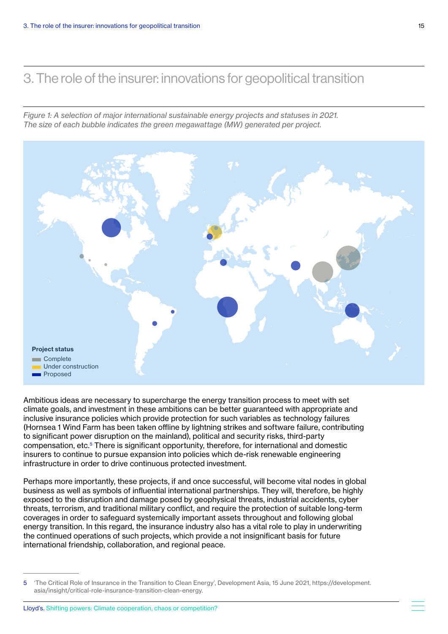*Figure 1: A selection of major international sustainable energy projects and statuses in 2021. The size of each bubble indicates the green megawattage (MW) generated per project.*



Ambitious ideas are necessary to supercharge the energy transition process to meet with set climate goals, and investment in these ambitions can be better guaranteed with appropriate and inclusive insurance policies which provide protection for such variables as technology failures (Hornsea 1 Wind Farm has been taken offline by lightning strikes and software failure, contributing to significant power disruption on the mainland), political and security risks, third-party compensation, etc.5 There is significant opportunity, therefore, for international and domestic insurers to continue to pursue expansion into policies which de-risk renewable engineering infrastructure in order to drive continuous protected investment.

Perhaps more importantly, these projects, if and once successful, will become vital nodes in global business as well as symbols of influential international partnerships. They will, therefore, be highly exposed to the disruption and damage posed by geophysical threats, industrial accidents, cyber threats, terrorism, and traditional military conflict, and require the protection of suitable long-term coverages in order to safeguard systemically important assets throughout and following global energy transition. In this regard, the insurance industry also has a vital role to play in underwriting the continued operations of such projects, which provide a not insignificant basis for future international friendship, collaboration, and regional peace.

<sup>5</sup> 'The Critical Role of Insurance in the Transition to Clean Energy', Development Asia, 15 June 2021, https://development. asia/insight/critical-role-insurance-transition-clean-energy.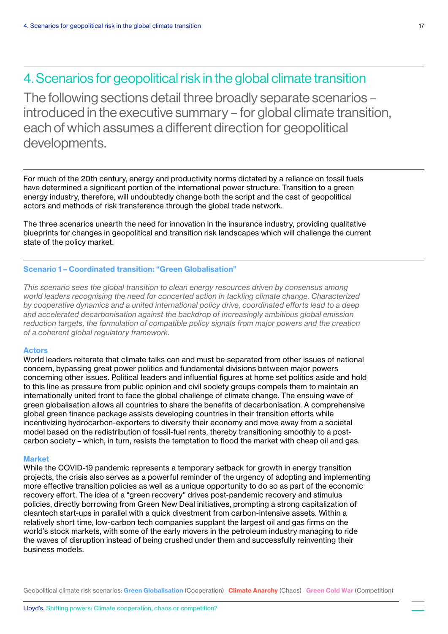<span id="page-16-0"></span>The following sections detail three broadly separate scenarios – introduced in the executive summary – for global climate transition, each of which assumes a different direction for geopolitical developments.

For much of the 20th century, energy and productivity norms dictated by a reliance on fossil fuels have determined a significant portion of the international power structure. Transition to a green energy industry, therefore, will undoubtedly change both the script and the cast of geopolitical actors and methods of risk transference through the global trade network.

The three scenarios unearth the need for innovation in the insurance industry, providing qualitative blueprints for changes in geopolitical and transition risk landscapes which will challenge the current state of the policy market.

### Scenario 1 – Coordinated transition: "Green Globalisation"

*This scenario sees the global transition to clean energy resources driven by consensus among world leaders recognising the need for concerted action in tackling climate change. Characterized by cooperative dynamics and a united international policy drive, coordinated efforts lead to a deep and accelerated decarbonisation against the backdrop of increasingly ambitious global emission reduction targets, the formulation of compatible policy signals from major powers and the creation of a coherent global regulatory framework.* 

#### Actors

World leaders reiterate that climate talks can and must be separated from other issues of national concern, bypassing great power politics and fundamental divisions between major powers concerning other issues. Political leaders and influential figures at home set politics aside and hold to this line as pressure from public opinion and civil society groups compels them to maintain an internationally united front to face the global challenge of climate change. The ensuing wave of green globalisation allows all countries to share the benefits of decarbonisation. A comprehensive global green finance package assists developing countries in their transition efforts while incentivizing hydrocarbon-exporters to diversify their economy and move away from a societal model based on the redistribution of fossil-fuel rents, thereby transitioning smoothly to a postcarbon society – which, in turn, resists the temptation to flood the market with cheap oil and gas.

### Market

While the COVID-19 pandemic represents a temporary setback for growth in energy transition projects, the crisis also serves as a powerful reminder of the urgency of adopting and implementing more effective transition policies as well as a unique opportunity to do so as part of the economic recovery effort. The idea of a "green recovery" drives post-pandemic recovery and stimulus policies, directly borrowing from Green New Deal initiatives, prompting a strong capitalization of cleantech start-ups in parallel with a quick divestment from carbon-intensive assets. Within a relatively short time, low-carbon tech companies supplant the largest oil and gas firms on the world's stock markets, with some of the early movers in the petroleum industry managing to ride the waves of disruption instead of being crushed under them and successfully reinventing their business models.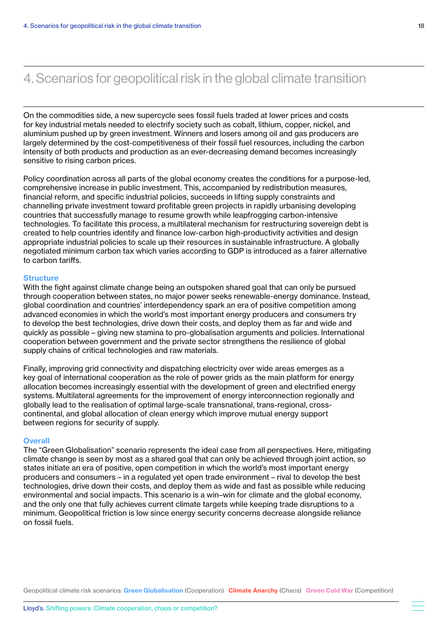On the commodities side, a new supercycle sees fossil fuels traded at lower prices and costs for key industrial metals needed to electrify society such as cobalt, lithium, copper, nickel, and aluminium pushed up by green investment. Winners and losers among oil and gas producers are largely determined by the cost-competitiveness of their fossil fuel resources, including the carbon intensity of both products and production as an ever-decreasing demand becomes increasingly sensitive to rising carbon prices.

Policy coordination across all parts of the global economy creates the conditions for a purpose-led, comprehensive increase in public investment. This, accompanied by redistribution measures, financial reform, and specific industrial policies, succeeds in lifting supply constraints and channelling private investment toward profitable green projects in rapidly urbanising developing countries that successfully manage to resume growth while leapfrogging carbon-intensive technologies. To facilitate this process, a multilateral mechanism for restructuring sovereign debt is created to help countries identify and finance low-carbon high-productivity activities and design appropriate industrial policies to scale up their resources in sustainable infrastructure. A globally negotiated minimum carbon tax which varies according to GDP is introduced as a fairer alternative to carbon tariffs.

### **Structure**

With the fight against climate change being an outspoken shared goal that can only be pursued through cooperation between states, no major power seeks renewable-energy dominance. Instead, global coordination and countries' interdependency spark an era of positive competition among advanced economies in which the world's most important energy producers and consumers try to develop the best technologies, drive down their costs, and deploy them as far and wide and quickly as possible – giving new stamina to pro-globalisation arguments and policies. International cooperation between government and the private sector strengthens the resilience of global supply chains of critical technologies and raw materials.

Finally, improving grid connectivity and dispatching electricity over wide areas emerges as a key goal of international cooperation as the role of power grids as the main platform for energy allocation becomes increasingly essential with the development of green and electrified energy systems. Multilateral agreements for the improvement of energy interconnection regionally and globally lead to the realisation of optimal large-scale transnational, trans-regional, crosscontinental, and global allocation of clean energy which improve mutual energy support between regions for security of supply.

#### **Overall**

The "Green Globalisation" scenario represents the ideal case from all perspectives. Here, mitigating climate change is seen by most as a shared goal that can only be achieved through joint action, so states initiate an era of positive, open competition in which the world's most important energy producers and consumers – in a regulated yet open trade environment – rival to develop the best technologies, drive down their costs, and deploy them as wide and fast as possible while reducing environmental and social impacts. This scenario is a win–win for climate and the global economy, and the only one that fully achieves current climate targets while keeping trade disruptions to a minimum. Geopolitical friction is low since energy security concerns decrease alongside reliance on fossil fuels.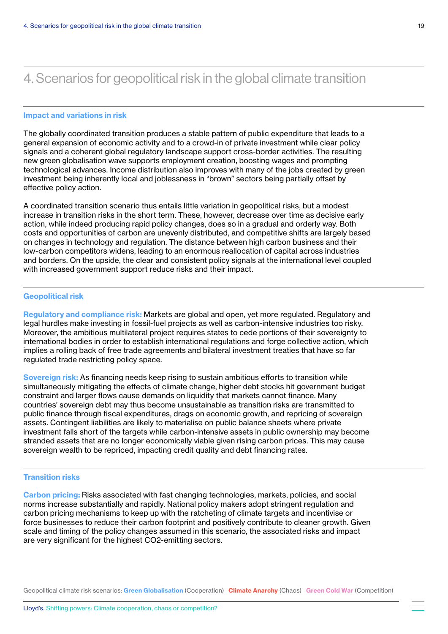#### Impact and variations in risk

The globally coordinated transition produces a stable pattern of public expenditure that leads to a general expansion of economic activity and to a crowd-in of private investment while clear policy signals and a coherent global regulatory landscape support cross-border activities. The resulting new green globalisation wave supports employment creation, boosting wages and prompting technological advances. Income distribution also improves with many of the jobs created by green investment being inherently local and joblessness in "brown" sectors being partially offset by effective policy action.

A coordinated transition scenario thus entails little variation in geopolitical risks, but a modest increase in transition risks in the short term. These, however, decrease over time as decisive early action, while indeed producing rapid policy changes, does so in a gradual and orderly way. Both costs and opportunities of carbon are unevenly distributed, and competitive shifts are largely based on changes in technology and regulation. The distance between high carbon business and their low-carbon competitors widens, leading to an enormous reallocation of capital across industries and borders. On the upside, the clear and consistent policy signals at the international level coupled with increased government support reduce risks and their impact.

### Geopolitical risk

Regulatory and compliance risk: Markets are global and open, yet more regulated. Regulatory and legal hurdles make investing in fossil-fuel projects as well as carbon-intensive industries too risky. Moreover, the ambitious multilateral project requires states to cede portions of their sovereignty to international bodies in order to establish international regulations and forge collective action, which implies a rolling back of free trade agreements and bilateral investment treaties that have so far regulated trade restricting policy space.

Sovereign risk: As financing needs keep rising to sustain ambitious efforts to transition while simultaneously mitigating the effects of climate change, higher debt stocks hit government budget constraint and larger flows cause demands on liquidity that markets cannot finance. Many countries' sovereign debt may thus become unsustainable as transition risks are transmitted to public finance through fiscal expenditures, drags on economic growth, and repricing of sovereign assets. Contingent liabilities are likely to materialise on public balance sheets where private investment falls short of the targets while carbon-intensive assets in public ownership may become stranded assets that are no longer economically viable given rising carbon prices. This may cause sovereign wealth to be repriced, impacting credit quality and debt financing rates.

### Transition risks

Carbon pricing: Risks associated with fast changing technologies, markets, policies, and social norms increase substantially and rapidly. National policy makers adopt stringent regulation and carbon pricing mechanisms to keep up with the ratcheting of climate targets and incentivise or force businesses to reduce their carbon footprint and positively contribute to cleaner growth. Given scale and timing of the policy changes assumed in this scenario, the associated risks and impact are very significant for the highest CO2-emitting sectors.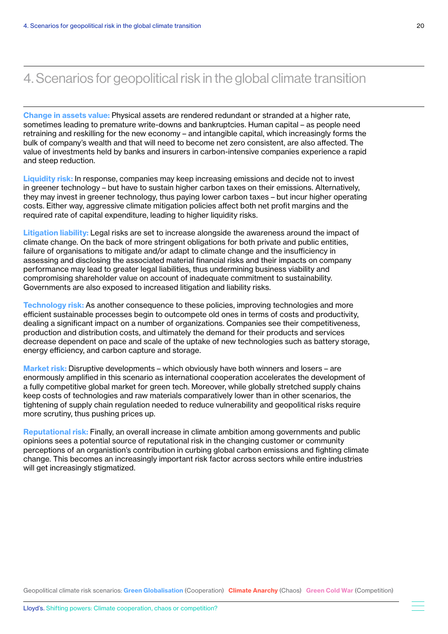Change in assets value: Physical assets are rendered redundant or stranded at a higher rate, sometimes leading to premature write-downs and bankruptcies. Human capital – as people need retraining and reskilling for the new economy – and intangible capital, which increasingly forms the bulk of company's wealth and that will need to become net zero consistent, are also affected. The value of investments held by banks and insurers in carbon-intensive companies experience a rapid and steep reduction.

Liquidity risk: In response, companies may keep increasing emissions and decide not to invest in greener technology – but have to sustain higher carbon taxes on their emissions. Alternatively, they may invest in greener technology, thus paying lower carbon taxes – but incur higher operating costs. Either way, aggressive climate mitigation policies affect both net profit margins and the required rate of capital expenditure, leading to higher liquidity risks.

Litigation liability: Legal risks are set to increase alongside the awareness around the impact of climate change. On the back of more stringent obligations for both private and public entities, failure of organisations to mitigate and/or adapt to climate change and the insufficiency in assessing and disclosing the associated material financial risks and their impacts on company performance may lead to greater legal liabilities, thus undermining business viability and compromising shareholder value on account of inadequate commitment to sustainability. Governments are also exposed to increased litigation and liability risks.

Technology risk: As another consequence to these policies, improving technologies and more efficient sustainable processes begin to outcompete old ones in terms of costs and productivity, dealing a significant impact on a number of organizations. Companies see their competitiveness, production and distribution costs, and ultimately the demand for their products and services decrease dependent on pace and scale of the uptake of new technologies such as battery storage, energy efficiency, and carbon capture and storage.

Market risk: Disruptive developments – which obviously have both winners and losers – are enormously amplified in this scenario as international cooperation accelerates the development of a fully competitive global market for green tech. Moreover, while globally stretched supply chains keep costs of technologies and raw materials comparatively lower than in other scenarios, the tightening of supply chain regulation needed to reduce vulnerability and geopolitical risks require more scrutiny, thus pushing prices up.

Reputational risk: Finally, an overall increase in climate ambition among governments and public opinions sees a potential source of reputational risk in the changing customer or community perceptions of an organistion's contribution in curbing global carbon emissions and fighting climate change. This becomes an increasingly important risk factor across sectors while entire industries will get increasingly stigmatized.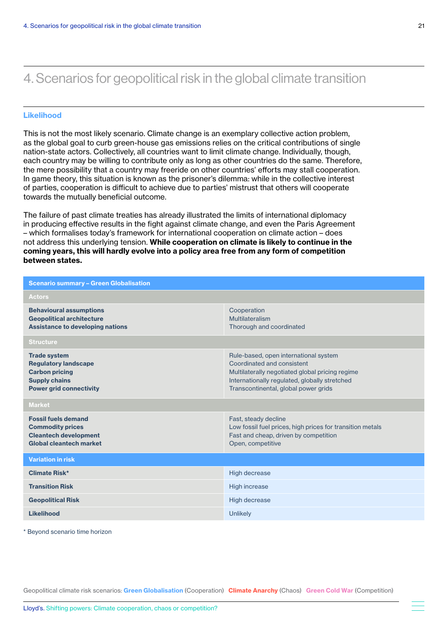### Likelihood

This is not the most likely scenario. Climate change is an exemplary collective action problem, as the global goal to curb green-house gas emissions relies on the critical contributions of single nation-state actors. Collectively, all countries want to limit climate change. Individually, though, each country may be willing to contribute only as long as other countries do the same. Therefore, the mere possibility that a country may freeride on other countries' efforts may stall cooperation. In game theory, this situation is known as the prisoner's dilemma: while in the collective interest of parties, cooperation is difficult to achieve due to parties' mistrust that others will cooperate towards the mutually beneficial outcome.

The failure of past climate treaties has already illustrated the limits of international diplomacy in producing effective results in the fight against climate change, and even the Paris Agreement – which formalises today's framework for international cooperation on climate action – does not address this underlying tension. While cooperation on climate is likely to continue in the coming years, this will hardly evolve into a policy area free from any form of competition between states.

| <b>Scenario summary - Green Globalisation</b>                                                                                         |                                                                                                                                                                                                                 |  |  |  |
|---------------------------------------------------------------------------------------------------------------------------------------|-----------------------------------------------------------------------------------------------------------------------------------------------------------------------------------------------------------------|--|--|--|
| <b>Actors</b>                                                                                                                         |                                                                                                                                                                                                                 |  |  |  |
| <b>Behavioural assumptions</b><br><b>Geopolitical architecture</b><br><b>Assistance to developing nations</b>                         | Cooperation<br>Multilateralism<br>Thorough and coordinated                                                                                                                                                      |  |  |  |
| <b>Structure</b>                                                                                                                      |                                                                                                                                                                                                                 |  |  |  |
| <b>Trade system</b><br><b>Regulatory landscape</b><br><b>Carbon pricing</b><br><b>Supply chains</b><br><b>Power grid connectivity</b> | Rule-based, open international system<br>Coordinated and consistent<br>Multilaterally negotiated global pricing regime<br>Internationally regulated, globally stretched<br>Transcontinental, global power grids |  |  |  |
| <b>Market</b>                                                                                                                         |                                                                                                                                                                                                                 |  |  |  |
| <b>Fossil fuels demand</b><br><b>Commodity prices</b><br><b>Cleantech development</b><br>Global cleantech market                      | Fast, steady decline<br>Low fossil fuel prices, high prices for transition metals<br>Fast and cheap, driven by competition<br>Open, competitive                                                                 |  |  |  |
| <b>Variation in risk</b>                                                                                                              |                                                                                                                                                                                                                 |  |  |  |
| Climate Risk*                                                                                                                         | <b>High decrease</b>                                                                                                                                                                                            |  |  |  |
| <b>Transition Risk</b>                                                                                                                | High increase                                                                                                                                                                                                   |  |  |  |
| <b>Geopolitical Risk</b>                                                                                                              | High decrease                                                                                                                                                                                                   |  |  |  |
| Likelihood                                                                                                                            | <b>Unlikely</b>                                                                                                                                                                                                 |  |  |  |

\* Beyond scenario time horizon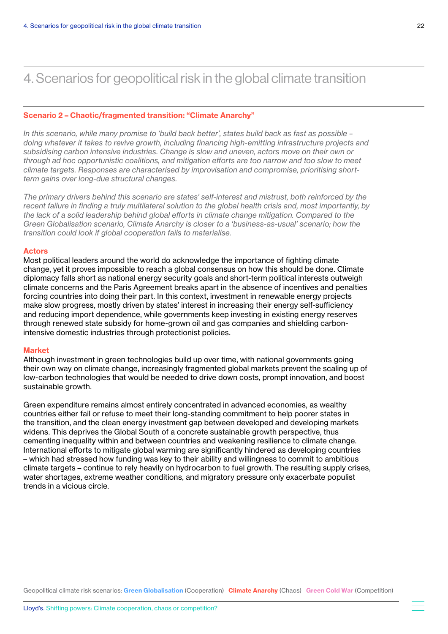### <span id="page-21-0"></span>Scenario 2 – Chaotic/fragmented transition: "Climate Anarchy"

*In this scenario, while many promise to 'build back better', states build back as fast as possible – doing whatever it takes to revive growth, including financing high-emitting infrastructure projects and subsidising carbon intensive industries. Change is slow and uneven, actors move on their own or through ad hoc opportunistic coalitions, and mitigation efforts are too narrow and too slow to meet climate targets. Responses are characterised by improvisation and compromise, prioritising shortterm gains over long-due structural changes.* 

*The primary drivers behind this scenario are states' self-interest and mistrust, both reinforced by the recent failure in finding a truly multilateral solution to the global health crisis and, most importantly, by the lack of a solid leadership behind global efforts in climate change mitigation. Compared to the Green Globalisation scenario, Climate Anarchy is closer to a 'business-as-usual' scenario; how the transition could look if global cooperation fails to materialise.*

### Actors

Most political leaders around the world do acknowledge the importance of fighting climate change, yet it proves impossible to reach a global consensus on how this should be done. Climate diplomacy falls short as national energy security goals and short-term political interests outweigh climate concerns and the Paris Agreement breaks apart in the absence of incentives and penalties forcing countries into doing their part. In this context, investment in renewable energy projects make slow progress, mostly driven by states' interest in increasing their energy self-sufficiency and reducing import dependence, while governments keep investing in existing energy reserves through renewed state subsidy for home-grown oil and gas companies and shielding carbonintensive domestic industries through protectionist policies.

#### Market

Although investment in green technologies build up over time, with national governments going their own way on climate change, increasingly fragmented global markets prevent the scaling up of low-carbon technologies that would be needed to drive down costs, prompt innovation, and boost sustainable growth.

Green expenditure remains almost entirely concentrated in advanced economies, as wealthy countries either fail or refuse to meet their long-standing commitment to help poorer states in the transition, and the clean energy investment gap between developed and developing markets widens. This deprives the Global South of a concrete sustainable growth perspective, thus cementing inequality within and between countries and weakening resilience to climate change. International efforts to mitigate global warming are significantly hindered as developing countries – which had stressed how funding was key to their ability and willingness to commit to ambitious climate targets – continue to rely heavily on hydrocarbon to fuel growth. The resulting supply crises, water shortages, extreme weather conditions, and migratory pressure only exacerbate populist trends in a vicious circle.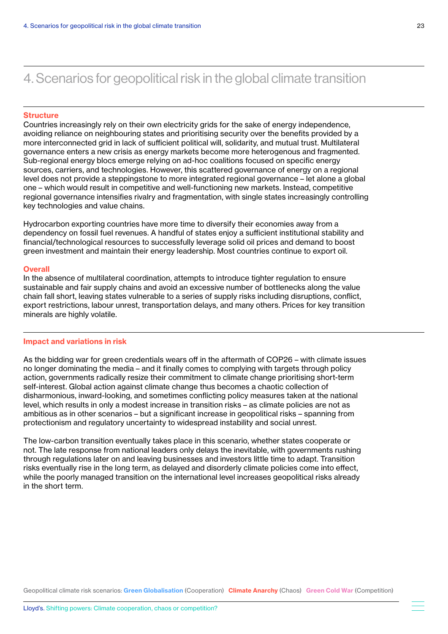### **Structure**

Countries increasingly rely on their own electricity grids for the sake of energy independence, avoiding reliance on neighbouring states and prioritising security over the benefits provided by a more interconnected grid in lack of sufficient political will, solidarity, and mutual trust. Multilateral governance enters a new crisis as energy markets become more heterogenous and fragmented. Sub-regional energy blocs emerge relying on ad-hoc coalitions focused on specific energy sources, carriers, and technologies. However, this scattered governance of energy on a regional level does not provide a steppingstone to more integrated regional governance – let alone a global one – which would result in competitive and well-functioning new markets. Instead, competitive regional governance intensifies rivalry and fragmentation, with single states increasingly controlling key technologies and value chains.

Hydrocarbon exporting countries have more time to diversify their economies away from a dependency on fossil fuel revenues. A handful of states enjoy a sufficient institutional stability and financial/technological resources to successfully leverage solid oil prices and demand to boost green investment and maintain their energy leadership. Most countries continue to export oil.

#### **Overall**

In the absence of multilateral coordination, attempts to introduce tighter regulation to ensure sustainable and fair supply chains and avoid an excessive number of bottlenecks along the value chain fall short, leaving states vulnerable to a series of supply risks including disruptions, conflict, export restrictions, labour unrest, transportation delays, and many others. Prices for key transition minerals are highly volatile.

#### Impact and variations in risk

As the bidding war for green credentials wears off in the aftermath of COP26 – with climate issues no longer dominating the media – and it finally comes to complying with targets through policy action, governments radically resize their commitment to climate change prioritising short-term self-interest. Global action against climate change thus becomes a chaotic collection of disharmonious, inward-looking, and sometimes conflicting policy measures taken at the national level, which results in only a modest increase in transition risks – as climate policies are not as ambitious as in other scenarios – but a significant increase in geopolitical risks – spanning from protectionism and regulatory uncertainty to widespread instability and social unrest.

The low-carbon transition eventually takes place in this scenario, whether states cooperate or not. The late response from national leaders only delays the inevitable, with governments rushing through regulations later on and leaving businesses and investors little time to adapt. Transition risks eventually rise in the long term, as delayed and disorderly climate policies come into effect, while the poorly managed transition on the international level increases geopolitical risks already in the short term.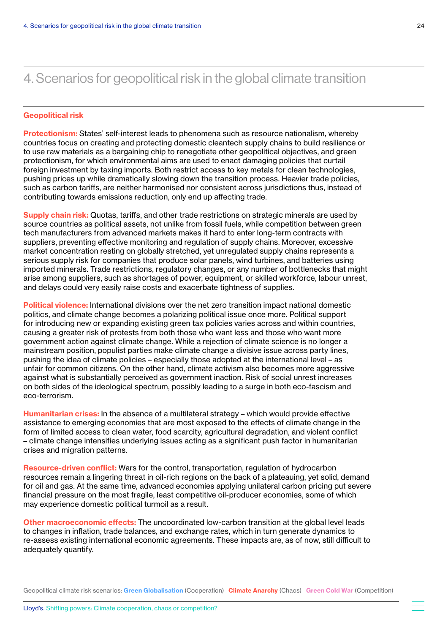#### Geopolitical risk

Protectionism: States' self-interest leads to phenomena such as resource nationalism, whereby countries focus on creating and protecting domestic cleantech supply chains to build resilience or to use raw materials as a bargaining chip to renegotiate other geopolitical objectives, and green protectionism, for which environmental aims are used to enact damaging policies that curtail foreign investment by taxing imports. Both restrict access to key metals for clean technologies, pushing prices up while dramatically slowing down the transition process. Heavier trade policies, such as carbon tariffs, are neither harmonised nor consistent across jurisdictions thus, instead of contributing towards emissions reduction, only end up affecting trade.

**Supply chain risk:** Quotas, tariffs, and other trade restrictions on strategic minerals are used by source countries as political assets, not unlike from fossil fuels, while competition between green tech manufacturers from advanced markets makes it hard to enter long-term contracts with suppliers, preventing effective monitoring and regulation of supply chains. Moreover, excessive market concentration resting on globally stretched, yet unregulated supply chains represents a serious supply risk for companies that produce solar panels, wind turbines, and batteries using imported minerals. Trade restrictions, regulatory changes, or any number of bottlenecks that might arise among suppliers, such as shortages of power, equipment, or skilled workforce, labour unrest, and delays could very easily raise costs and exacerbate tightness of supplies.

**Political violence:** International divisions over the net zero transition impact national domestic politics, and climate change becomes a polarizing political issue once more. Political support for introducing new or expanding existing green tax policies varies across and within countries, causing a greater risk of protests from both those who want less and those who want more government action against climate change. While a rejection of climate science is no longer a mainstream position, populist parties make climate change a divisive issue across party lines, pushing the idea of climate policies – especially those adopted at the international level – as unfair for common citizens. On the other hand, climate activism also becomes more aggressive against what is substantially perceived as government inaction. Risk of social unrest increases on both sides of the ideological spectrum, possibly leading to a surge in both eco-fascism and eco-terrorism.

**Humanitarian crises:** In the absence of a multilateral strategy – which would provide effective assistance to emerging economies that are most exposed to the effects of climate change in the form of limited access to clean water, food scarcity, agricultural degradation, and violent conflict – climate change intensifies underlying issues acting as a significant push factor in humanitarian crises and migration patterns.

Resource-driven conflict: Wars for the control, transportation, regulation of hydrocarbon resources remain a lingering threat in oil-rich regions on the back of a plateauing, yet solid, demand for oil and gas. At the same time, advanced economies applying unilateral carbon pricing put severe financial pressure on the most fragile, least competitive oil-producer economies, some of which may experience domestic political turmoil as a result.

Other macroeconomic effects: The uncoordinated low-carbon transition at the global level leads to changes in inflation, trade balances, and exchange rates, which in turn generate dynamics to re-assess existing international economic agreements. These impacts are, as of now, still difficult to adequately quantify.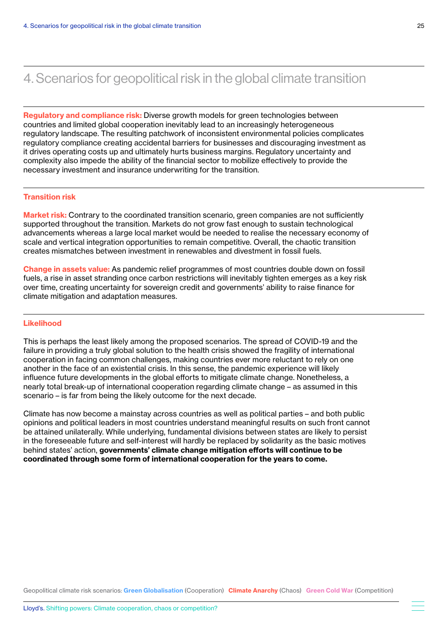Regulatory and compliance risk: Diverse growth models for green technologies between countries and limited global cooperation inevitably lead to an increasingly heterogeneous regulatory landscape. The resulting patchwork of inconsistent environmental policies complicates regulatory compliance creating accidental barriers for businesses and discouraging investment as it drives operating costs up and ultimately hurts business margins. Regulatory uncertainty and complexity also impede the ability of the financial sector to mobilize effectively to provide the necessary investment and insurance underwriting for the transition.

### Transition risk

**Market risk:** Contrary to the coordinated transition scenario, green companies are not sufficiently supported throughout the transition. Markets do not grow fast enough to sustain technological advancements whereas a large local market would be needed to realise the necessary economy of scale and vertical integration opportunities to remain competitive. Overall, the chaotic transition creates mismatches between investment in renewables and divestment in fossil fuels.

Change in assets value: As pandemic relief programmes of most countries double down on fossil fuels, a rise in asset stranding once carbon restrictions will inevitably tighten emerges as a key risk over time, creating uncertainty for sovereign credit and governments' ability to raise finance for climate mitigation and adaptation measures.

#### Likelihood

This is perhaps the least likely among the proposed scenarios. The spread of COVID-19 and the failure in providing a truly global solution to the health crisis showed the fragility of international cooperation in facing common challenges, making countries ever more reluctant to rely on one another in the face of an existential crisis. In this sense, the pandemic experience will likely influence future developments in the global efforts to mitigate climate change. Nonetheless, a nearly total break-up of international cooperation regarding climate change – as assumed in this scenario – is far from being the likely outcome for the next decade.

Climate has now become a mainstay across countries as well as political parties – and both public opinions and political leaders in most countries understand meaningful results on such front cannot be attained unilaterally. While underlying, fundamental divisions between states are likely to persist in the foreseeable future and self-interest will hardly be replaced by solidarity as the basic motives behind states' action, governments' climate change mitigation efforts will continue to be coordinated through some form of international cooperation for the years to come.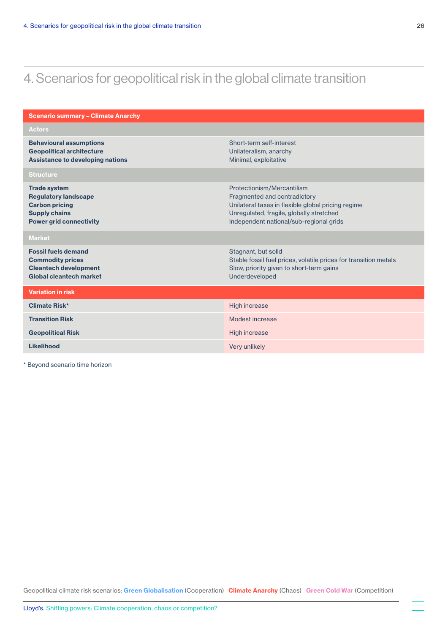| <b>Scenario summary - Climate Anarchy</b>                                                                                             |                                                                                                                                                                                                         |  |  |  |
|---------------------------------------------------------------------------------------------------------------------------------------|---------------------------------------------------------------------------------------------------------------------------------------------------------------------------------------------------------|--|--|--|
| <b>Actors</b>                                                                                                                         |                                                                                                                                                                                                         |  |  |  |
| <b>Behavioural assumptions</b><br><b>Geopolitical architecture</b><br><b>Assistance to developing nations</b>                         | Short-term self-interest<br>Unilateralism, anarchy<br>Minimal, exploitative                                                                                                                             |  |  |  |
| <b>Structure</b>                                                                                                                      |                                                                                                                                                                                                         |  |  |  |
| <b>Trade system</b><br><b>Regulatory landscape</b><br><b>Carbon pricing</b><br><b>Supply chains</b><br><b>Power grid connectivity</b> | Protectionism/Mercantilism<br>Fragmented and contradictory<br>Unilateral taxes in flexible global pricing regime<br>Unregulated, fragile, globally stretched<br>Independent national/sub-regional grids |  |  |  |
| <b>Market</b>                                                                                                                         |                                                                                                                                                                                                         |  |  |  |
| <b>Fossil fuels demand</b><br><b>Commodity prices</b><br><b>Cleantech development</b><br>Global cleantech market                      | Stagnant, but solid<br>Stable fossil fuel prices, volatile prices for transition metals<br>Slow, priority given to short-term gains<br>Underdeveloped                                                   |  |  |  |
| <b>Variation in risk</b>                                                                                                              |                                                                                                                                                                                                         |  |  |  |
| Climate Risk*                                                                                                                         | <b>High increase</b>                                                                                                                                                                                    |  |  |  |
| <b>Transition Risk</b>                                                                                                                | Modest increase                                                                                                                                                                                         |  |  |  |
| <b>Geopolitical Risk</b>                                                                                                              | <b>High increase</b>                                                                                                                                                                                    |  |  |  |
| <b>Likelihood</b>                                                                                                                     | Very unlikely                                                                                                                                                                                           |  |  |  |

\* Beyond scenario time horizon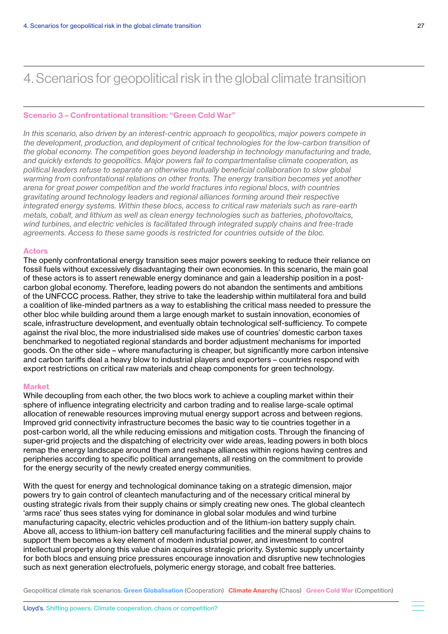### Scenario 3 – Confrontational transition: "Green Cold War"

*In this scenario, also driven by an interest-centric approach to geopolitics, major powers compete in the development, production, and deployment of critical technologies for the low-carbon transition of the global economy. The competition goes beyond leadership in technology manufacturing and trade, and quickly extends to geopolitics. Major powers fail to compartmentalise climate cooperation, as political leaders refuse to separate an otherwise mutually beneficial collaboration to slow global warming from confrontational relations on other fronts. The energy transition becomes yet another arena for great power competition and the world fractures into regional blocs, with countries gravitating around technology leaders and regional alliances forming around their respective integrated energy systems. Within these blocs, access to critical raw materials such as rare-earth metals, cobalt, and lithium as well as clean energy technologies such as batteries, photovoltaics, wind turbines, and electric vehicles is facilitated through integrated supply chains and free-trade agreements. Access to these same goods is restricted for countries outside of the bloc.*

### Actors

The openly confrontational energy transition sees major powers seeking to reduce their reliance on fossil fuels without excessively disadvantaging their own economies. In this scenario, the main goal of these actors is to assert renewable energy dominance and gain a leadership position in a postcarbon global economy. Therefore, leading powers do not abandon the sentiments and ambitions of the UNFCCC process. Rather, they strive to take the leadership within multilateral fora and build a coalition of like-minded partners as a way to establishing the critical mass needed to pressure the other bloc while building around them a large enough market to sustain innovation, economies of scale, infrastructure development, and eventually obtain technological self-sufficiency. To compete against the rival bloc, the more industrialised side makes use of countries' domestic carbon taxes benchmarked to negotiated regional standards and border adjustment mechanisms for imported goods. On the other side – where manufacturing is cheaper, but significantly more carbon intensive and carbon tariffs deal a heavy blow to industrial players and exporters – countries respond with export restrictions on critical raw materials and cheap components for green technology.

#### **Market**

While decoupling from each other, the two blocs work to achieve a coupling market within their sphere of influence integrating electricity and carbon trading and to realise large-scale optimal allocation of renewable resources improving mutual energy support across and between regions. Improved grid connectivity infrastructure becomes the basic way to tie countries together in a post-carbon world, all the while reducing emissions and mitigation costs. Through the financing of super-grid projects and the dispatching of electricity over wide areas, leading powers in both blocs remap the energy landscape around them and reshape alliances within regions having centres and peripheries according to specific political arrangements, all resting on the commitment to provide for the energy security of the newly created energy communities.

With the quest for energy and technological dominance taking on a strategic dimension, major powers try to gain control of cleantech manufacturing and of the necessary critical mineral by ousting strategic rivals from their supply chains or simply creating new ones. The global cleantech 'arms race' thus sees states vying for dominance in global solar modules and wind turbine manufacturing capacity, electric vehicles production and of the lithium-ion battery supply chain. Above all, access to lithium-ion battery cell manufacturing facilities and the mineral supply chains to support them becomes a key element of modern industrial power, and investment to control intellectual property along this value chain acquires strategic priority. Systemic supply uncertainty for both blocs and ensuing price pressures encourage innovation and disruptive new technologies such as next generation electrofuels, polymeric energy storage, and cobalt free batteries.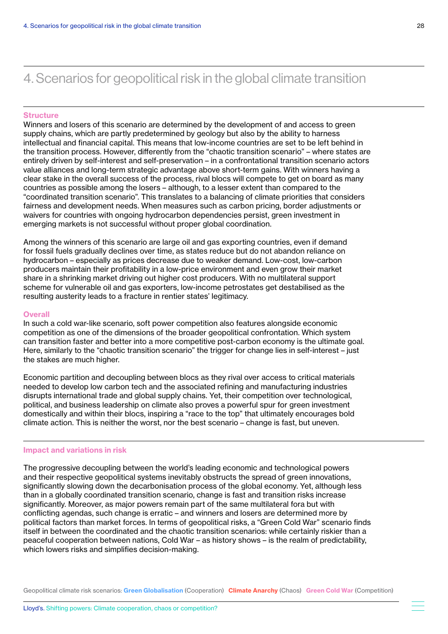#### <span id="page-27-0"></span>**Structure**

Winners and losers of this scenario are determined by the development of and access to green supply chains, which are partly predetermined by geology but also by the ability to harness intellectual and financial capital. This means that low-income countries are set to be left behind in the transition process. However, differently from the "chaotic transition scenario" – where states are entirely driven by self-interest and self-preservation – in a confrontational transition scenario actors value alliances and long-term strategic advantage above short-term gains. With winners having a clear stake in the overall success of the process, rival blocs will compete to get on board as many countries as possible among the losers – although, to a lesser extent than compared to the "coordinated transition scenario". This translates to a balancing of climate priorities that considers fairness and development needs. When measures such as carbon pricing, border adjustments or waivers for countries with ongoing hydrocarbon dependencies persist, green investment in emerging markets is not successful without proper global coordination.

Among the winners of this scenario are large oil and gas exporting countries, even if demand for fossil fuels gradually declines over time, as states reduce but do not abandon reliance on hydrocarbon – especially as prices decrease due to weaker demand. Low-cost, low-carbon producers maintain their profitability in a low-price environment and even grow their market share in a shrinking market driving out higher cost producers. With no multilateral support scheme for vulnerable oil and gas exporters, low-income petrostates get destabilised as the resulting austerity leads to a fracture in rentier states' legitimacy.

#### **Overall**

In such a cold war-like scenario, soft power competition also features alongside economic competition as one of the dimensions of the broader geopolitical confrontation. Which system can transition faster and better into a more competitive post-carbon economy is the ultimate goal. Here, similarly to the "chaotic transition scenario" the trigger for change lies in self-interest – just the stakes are much higher.

Economic partition and decoupling between blocs as they rival over access to critical materials needed to develop low carbon tech and the associated refining and manufacturing industries disrupts international trade and global supply chains. Yet, their competition over technological, political, and business leadership on climate also proves a powerful spur for green investment domestically and within their blocs, inspiring a "race to the top" that ultimately encourages bold climate action. This is neither the worst, nor the best scenario – change is fast, but uneven.

### Impact and variations in risk

The progressive decoupling between the world's leading economic and technological powers and their respective geopolitical systems inevitably obstructs the spread of green innovations, significantly slowing down the decarbonisation process of the global economy. Yet, although less than in a globally coordinated transition scenario, change is fast and transition risks increase significantly. Moreover, as major powers remain part of the same multilateral fora but with conflicting agendas, such change is erratic – and winners and losers are determined more by political factors than market forces. In terms of geopolitical risks, a "Green Cold War" scenario finds itself in between the coordinated and the chaotic transition scenarios: while certainly riskier than a peaceful cooperation between nations, Cold War – as history shows – is the realm of predictability, which lowers risks and simplifies decision-making.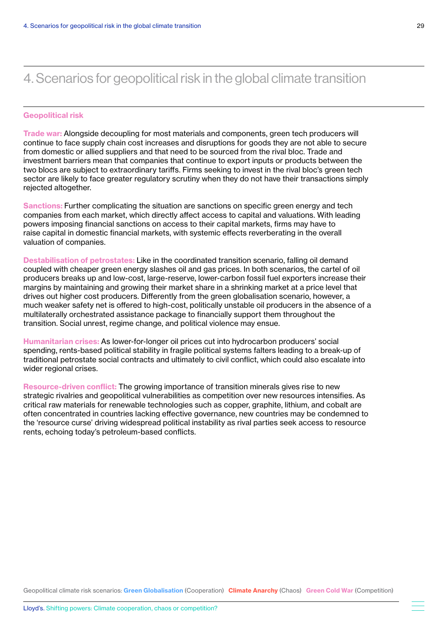#### Geopolitical risk

Trade war: Alongside decoupling for most materials and components, green tech producers will continue to face supply chain cost increases and disruptions for goods they are not able to secure from domestic or allied suppliers and that need to be sourced from the rival bloc. Trade and investment barriers mean that companies that continue to export inputs or products between the two blocs are subject to extraordinary tariffs. Firms seeking to invest in the rival bloc's green tech sector are likely to face greater regulatory scrutiny when they do not have their transactions simply rejected altogether.

Sanctions: Further complicating the situation are sanctions on specific green energy and tech companies from each market, which directly affect access to capital and valuations. With leading powers imposing financial sanctions on access to their capital markets, firms may have to raise capital in domestic financial markets, with systemic effects reverberating in the overall valuation of companies.

Destabilisation of petrostates: Like in the coordinated transition scenario, falling oil demand coupled with cheaper green energy slashes oil and gas prices. In both scenarios, the cartel of oil producers breaks up and low-cost, large-reserve, lower-carbon fossil fuel exporters increase their margins by maintaining and growing their market share in a shrinking market at a price level that drives out higher cost producers. Differently from the green globalisation scenario, however, a much weaker safety net is offered to high-cost, politically unstable oil producers in the absence of a multilaterally orchestrated assistance package to financially support them throughout the transition. Social unrest, regime change, and political violence may ensue.

Humanitarian crises: As lower-for-longer oil prices cut into hydrocarbon producers' social spending, rents-based political stability in fragile political systems falters leading to a break-up of traditional petrostate social contracts and ultimately to civil conflict, which could also escalate into wider regional crises.

Resource-driven conflict: The growing importance of transition minerals gives rise to new strategic rivalries and geopolitical vulnerabilities as competition over new resources intensifies. As critical raw materials for renewable technologies such as copper, graphite, lithium, and cobalt are often concentrated in countries lacking effective governance, new countries may be condemned to the 'resource curse' driving widespread political instability as rival parties seek access to resource rents, echoing today's petroleum-based conflicts.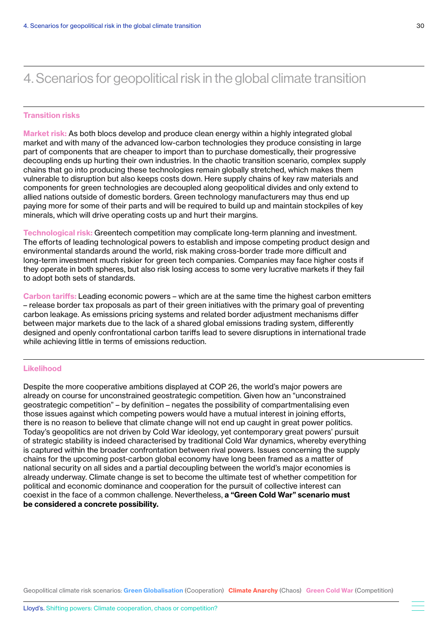#### Transition risks

Market risk: As both blocs develop and produce clean energy within a highly integrated global market and with many of the advanced low-carbon technologies they produce consisting in large part of components that are cheaper to import than to purchase domestically, their progressive decoupling ends up hurting their own industries. In the chaotic transition scenario, complex supply chains that go into producing these technologies remain globally stretched, which makes them vulnerable to disruption but also keeps costs down. Here supply chains of key raw materials and components for green technologies are decoupled along geopolitical divides and only extend to allied nations outside of domestic borders. Green technology manufacturers may thus end up paying more for some of their parts and will be required to build up and maintain stockpiles of key minerals, which will drive operating costs up and hurt their margins.

Technological risk: Greentech competition may complicate long-term planning and investment. The efforts of leading technological powers to establish and impose competing product design and environmental standards around the world, risk making cross-border trade more difficult and long-term investment much riskier for green tech companies. Companies may face higher costs if they operate in both spheres, but also risk losing access to some very lucrative markets if they fail to adopt both sets of standards.

Carbon tariffs: Leading economic powers – which are at the same time the highest carbon emitters – release border tax proposals as part of their green initiatives with the primary goal of preventing carbon leakage. As emissions pricing systems and related border adjustment mechanisms differ between major markets due to the lack of a shared global emissions trading system, differently designed and openly confrontational carbon tariffs lead to severe disruptions in international trade while achieving little in terms of emissions reduction.

### Likelihood

Despite the more cooperative ambitions displayed at COP 26, the world's major powers are already on course for unconstrained geostrategic competition. Given how an "unconstrained geostrategic competition" – by definition – negates the possibility of compartmentalising even those issues against which competing powers would have a mutual interest in joining efforts, there is no reason to believe that climate change will not end up caught in great power politics. Today's geopolitics are not driven by Cold War ideology, yet contemporary great powers' pursuit of strategic stability is indeed characterised by traditional Cold War dynamics, whereby everything is captured within the broader confrontation between rival powers. Issues concerning the supply chains for the upcoming post-carbon global economy have long been framed as a matter of national security on all sides and a partial decoupling between the world's major economies is already underway. Climate change is set to become the ultimate test of whether competition for political and economic dominance and cooperation for the pursuit of collective interest can coexist in the face of a common challenge. Nevertheless, a "Green Cold War" scenario must be considered a concrete possibility.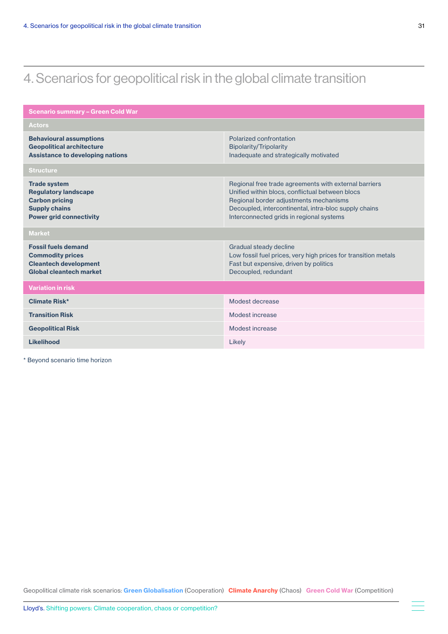| <b>Scenario summary - Green Cold War</b>                                                                                              |                                                                                                                                                                                                                                                         |  |  |  |
|---------------------------------------------------------------------------------------------------------------------------------------|---------------------------------------------------------------------------------------------------------------------------------------------------------------------------------------------------------------------------------------------------------|--|--|--|
| <b>Actors</b>                                                                                                                         |                                                                                                                                                                                                                                                         |  |  |  |
| <b>Behavioural assumptions</b><br><b>Geopolitical architecture</b><br><b>Assistance to developing nations</b>                         | Polarized confrontation<br>Bipolarity/Tripolarity<br>Inadequate and strategically motivated                                                                                                                                                             |  |  |  |
| <b>Structure</b>                                                                                                                      |                                                                                                                                                                                                                                                         |  |  |  |
| <b>Trade system</b><br><b>Regulatory landscape</b><br><b>Carbon pricing</b><br><b>Supply chains</b><br><b>Power grid connectivity</b> | Regional free trade agreements with external barriers<br>Unified within blocs, conflictual between blocs<br>Regional border adjustments mechanisms<br>Decoupled, intercontinental, intra-bloc supply chains<br>Interconnected grids in regional systems |  |  |  |
| <b>Market</b>                                                                                                                         |                                                                                                                                                                                                                                                         |  |  |  |
| <b>Fossil fuels demand</b><br><b>Commodity prices</b><br><b>Cleantech development</b><br>Global cleantech market                      | Gradual steady decline<br>Low fossil fuel prices, very high prices for transition metals<br>Fast but expensive, driven by politics<br>Decoupled, redundant                                                                                              |  |  |  |
| <b>Variation in risk</b>                                                                                                              |                                                                                                                                                                                                                                                         |  |  |  |
| Climate Risk*                                                                                                                         | Modest decrease                                                                                                                                                                                                                                         |  |  |  |
| <b>Transition Risk</b>                                                                                                                | Modest increase                                                                                                                                                                                                                                         |  |  |  |
| <b>Geopolitical Risk</b>                                                                                                              | Modest increase                                                                                                                                                                                                                                         |  |  |  |
| Likelihood                                                                                                                            | Likely                                                                                                                                                                                                                                                  |  |  |  |

\* Beyond scenario time horizon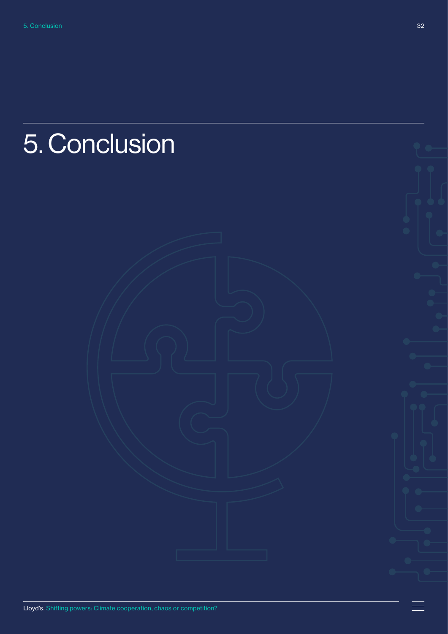# <span id="page-31-0"></span>5. Conclusion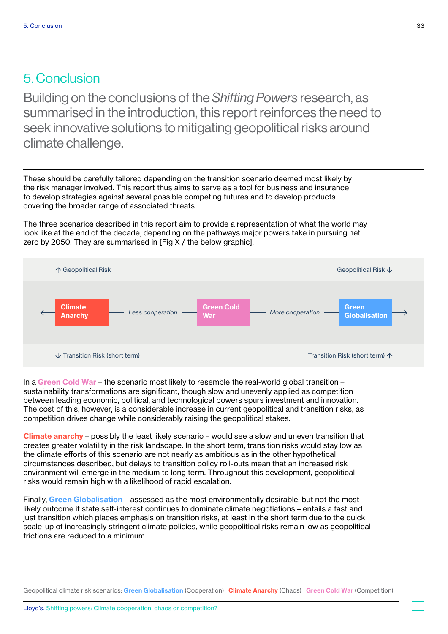### 5. Conclusion

Building on the conclusions of the *Shifting Powers* research, as summarised in the introduction, this report reinforces the need to seek innovative solutions to mitigating geopolitical risks around climate challenge.

These should be carefully tailored depending on the transition scenario deemed most likely by the risk manager involved. This report thus aims to serve as a tool for business and insurance to develop strategies against several possible competing futures and to develop products covering the broader range of associated threats.

The three scenarios described in this report aim to provide a representation of what the world may look like at the end of the decade, depending on the pathways major powers take in pursuing net zero by 2050. They are summarised in [Fig X / the below graphic].



In a Green Cold War – the scenario most likely to resemble the real-world global transition – sustainability transformations are significant, though slow and unevenly applied as competition between leading economic, political, and technological powers spurs investment and innovation. The cost of this, however, is a considerable increase in current geopolitical and transition risks, as competition drives change while considerably raising the geopolitical stakes.

Climate anarchy - possibly the least likely scenario - would see a slow and uneven transition that creates greater volatility in the risk landscape. In the short term, transition risks would stay low as the climate efforts of this scenario are not nearly as ambitious as in the other hypothetical circumstances described, but delays to transition policy roll-outs mean that an increased risk environment will emerge in the medium to long term. Throughout this development, geopolitical risks would remain high with a likelihood of rapid escalation.

Finally, Green Globalisation – assessed as the most environmentally desirable, but not the most likely outcome if state self-interest continues to dominate climate negotiations – entails a fast and just transition which places emphasis on transition risks, at least in the short term due to the quick scale-up of increasingly stringent climate policies, while geopolitical risks remain low as geopolitical frictions are reduced to a minimum.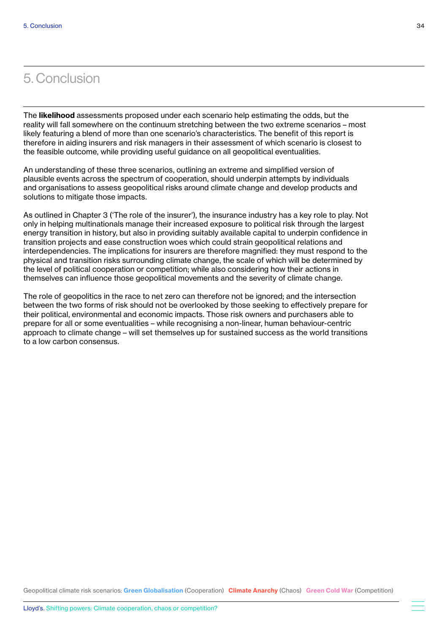### 5. Conclusion

The **likelihood** assessments proposed under each scenario help estimating the odds, but the reality will fall somewhere on the continuum stretching between the two extreme scenarios – most likely featuring a blend of more than one scenario's characteristics. The benefit of this report is therefore in aiding insurers and risk managers in their assessment of which scenario is closest to the feasible outcome, while providing useful guidance on all geopolitical eventualities.

An understanding of these three scenarios, outlining an extreme and simplified version of plausible events across the spectrum of cooperation, should underpin attempts by individuals and organisations to assess geopolitical risks around climate change and develop products and solutions to mitigate those impacts.

As outlined in Chapter 3 ('The role of the insurer'), the insurance industry has a key role to play. Not only in helping multinationals manage their increased exposure to political risk through the largest energy transition in history, but also in providing suitably available capital to underpin confidence in transition projects and ease construction woes which could strain geopolitical relations and interdependencies. The implications for insurers are therefore magnified: they must respond to the physical and transition risks surrounding climate change, the scale of which will be determined by the level of political cooperation or competition; while also considering how their actions in themselves can influence those geopolitical movements and the severity of climate change.

The role of geopolitics in the race to net zero can therefore not be ignored; and the intersection between the two forms of risk should not be overlooked by those seeking to effectively prepare for their political, environmental and economic impacts. Those risk owners and purchasers able to prepare for all or some eventualities – while recognising a non-linear, human behaviour-centric approach to climate change – will set themselves up for sustained success as the world transitions to a low carbon consensus.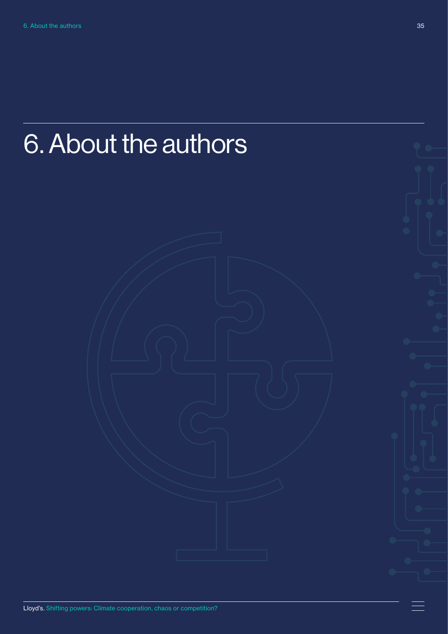# <span id="page-34-0"></span>6. About the authors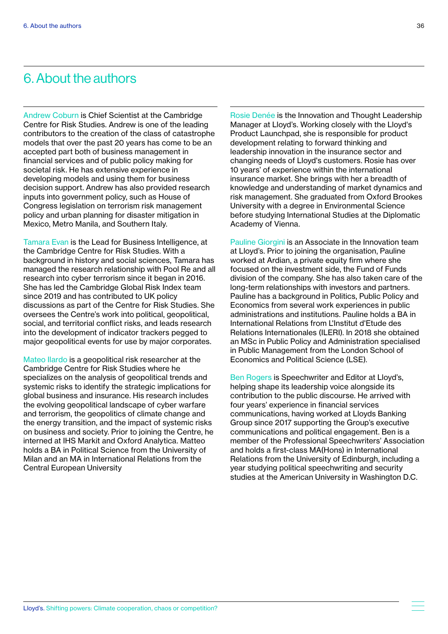### 6. About the authors

Andrew Coburn is Chief Scientist at the Cambridge Centre for Risk Studies. Andrew is one of the leading contributors to the creation of the class of catastrophe models that over the past 20 years has come to be an accepted part both of business management in financial services and of public policy making for societal risk. He has extensive experience in developing models and using them for business decision support. Andrew has also provided research inputs into government policy, such as House of Congress legislation on terrorism risk management policy and urban planning for disaster mitigation in Mexico, Metro Manila, and Southern Italy.

Tamara Evan is the Lead for Business Intelligence, at the Cambridge Centre for Risk Studies. With a background in history and social sciences, Tamara has managed the research relationship with Pool Re and all research into cyber terrorism since it began in 2016. She has led the Cambridge Global Risk Index team since 2019 and has contributed to UK policy discussions as part of the Centre for Risk Studies. She oversees the Centre's work into political, geopolitical, social, and territorial conflict risks, and leads research into the development of indicator trackers pegged to major geopolitical events for use by major corporates.

Mateo Ilardo is a geopolitical risk researcher at the Cambridge Centre for Risk Studies where he specializes on the analysis of geopolitical trends and systemic risks to identify the strategic implications for global business and insurance. His research includes the evolving geopolitical landscape of cyber warfare and terrorism, the geopolitics of climate change and the energy transition, and the impact of systemic risks on business and society. Prior to joining the Centre, he interned at IHS Markit and Oxford Analytica. Matteo holds a BA in Political Science from the University of Milan and an MA in International Relations from the Central European University

Rosie Denée is the Innovation and Thought Leadership Manager at Lloyd's. Working closely with the Lloyd's Product Launchpad, she is responsible for product development relating to forward thinking and leadership innovation in the insurance sector and changing needs of Lloyd's customers. Rosie has over 10 years' of experience within the international insurance market. She brings with her a breadth of knowledge and understanding of market dynamics and risk management. She graduated from Oxford Brookes University with a degree in Environmental Science before studying International Studies at the Diplomatic Academy of Vienna.

Pauline Giorgini is an Associate in the Innovation team at Lloyd's. Prior to joining the organisation, Pauline worked at Ardian, a private equity firm where she focused on the investment side, the Fund of Funds division of the company. She has also taken care of the long-term relationships with investors and partners. Pauline has a background in Politics, Public Policy and Economics from several work experiences in public administrations and institutions. Pauline holds a BA in International Relations from L'Institut d'Etude des Relations Internationales (ILERI). In 2018 she obtained an MSc in Public Policy and Administration specialised in Public Management from the London School of Economics and Political Science (LSE).

Ben Rogers is Speechwriter and Editor at Lloyd's, helping shape its leadership voice alongside its contribution to the public discourse. He arrived with four years' experience in financial services communications, having worked at Lloyds Banking Group since 2017 supporting the Group's executive communications and political engagement. Ben is a member of the Professional Speechwriters' Association and holds a first-class MA(Hons) in International Relations from the University of Edinburgh, including a year studying political speechwriting and security studies at the American University in Washington D.C.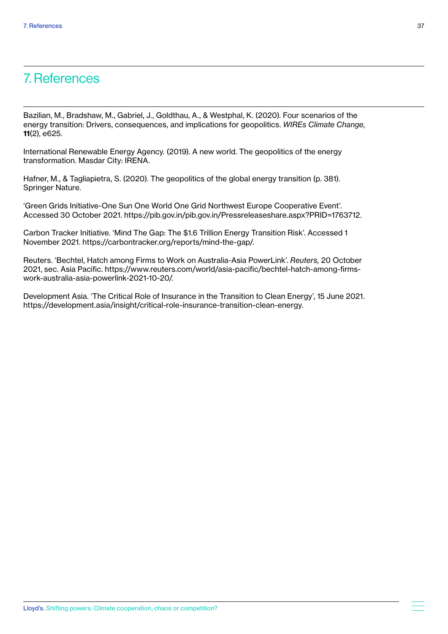### 7. References

Bazilian, M., Bradshaw, M., Gabriel, J., Goldthau, A., & Westphal, K. (2020). Four scenarios of the energy transition: Drivers, consequences, and implications for geopolitics. *WIREs Climate Change,*  11(2), e625.

International Renewable Energy Agency. (2019). A new world. The geopolitics of the energy transformation. Masdar City: IRENA.

Hafner, M., & Tagliapietra, S. (2020). The geopolitics of the global energy transition (p. 381). Springer Nature.

'Green Grids Initiative-One Sun One World One Grid Northwest Europe Cooperative Event'. Accessed 30 October 2021. https://pib.gov.in/pib.gov.in/Pressreleaseshare.aspx?PRID=1763712.

Carbon Tracker Initiative. 'Mind The Gap: The \$1.6 Trillion Energy Transition Risk'. Accessed 1 November 2021. https://carbontracker.org/reports/mind-the-gap/.

Reuters. 'Bechtel, Hatch among Firms to Work on Australia-Asia PowerLink'. *Reuters,* 20 October 2021, sec. Asia Pacific. https://www.reuters.com/world/asia-pacific/bechtel-hatch-among-firmswork-australia-asia-powerlink-2021-10-20/.

Development Asia. 'The Critical Role of Insurance in the Transition to Clean Energy', 15 June 2021. https://development.asia/insight/critical-role-insurance-transition-clean-energy.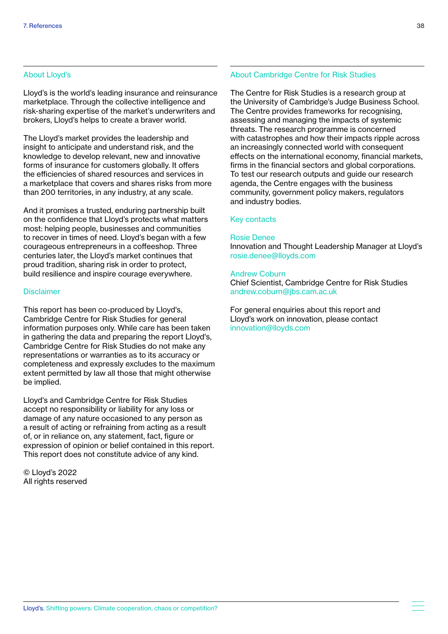### About Lloyd's

Lloyd's is the world's leading insurance and reinsurance marketplace. Through the collective intelligence and risk-sharing expertise of the market's underwriters and brokers, Lloyd's helps to create a braver world.

The Lloyd's market provides the leadership and insight to anticipate and understand risk, and the knowledge to develop relevant, new and innovative forms of insurance for customers globally. It offers the efficiencies of shared resources and services in a marketplace that covers and shares risks from more than 200 territories, in any industry, at any scale.

And it promises a trusted, enduring partnership built on the confidence that Lloyd's protects what matters most: helping people, businesses and communities to recover in times of need. Lloyd's began with a few courageous entrepreneurs in a coffeeshop. Three centuries later, the Lloyd's market continues that proud tradition, sharing risk in order to protect, build resilience and inspire courage everywhere.

### **Disclaimer**

This report has been co-produced by Lloyd's, Cambridge Centre for Risk Studies for general information purposes only. While care has been taken in gathering the data and preparing the report Lloyd's, Cambridge Centre for Risk Studies do not make any representations or warranties as to its accuracy or completeness and expressly excludes to the maximum extent permitted by law all those that might otherwise be implied.

Lloyd's and Cambridge Centre for Risk Studies accept no responsibility or liability for any loss or damage of any nature occasioned to any person as a result of acting or refraining from acting as a result of, or in reliance on, any statement, fact, figure or expression of opinion or belief contained in this report. This report does not constitute advice of any kind.

© Lloyd's 2022 All rights reserved

### About Cambridge Centre for Risk Studies

The Centre for Risk Studies is a research group at the University of Cambridge's Judge Business School. The Centre provides frameworks for recognising, assessing and managing the impacts of systemic threats. The research programme is concerned with catastrophes and how their impacts ripple across an increasingly connected world with consequent effects on the international economy, financial markets, firms in the financial sectors and global corporations. To test our research outputs and guide our research agenda, the Centre engages with the business community, government policy makers, regulators and industry bodies.

### Key contacts

### Rosie Denee

Innovation and Thought Leadership Manager at Lloyd's rosie.denee@lloyds.com

### Andrew Coburn

Chief Scientist, Cambridge Centre for Risk Studies andrew.coburn@jbs.cam.ac.uk

For general enquiries about this report and Lloyd's work on innovation, please contact innovation@lloyds.com